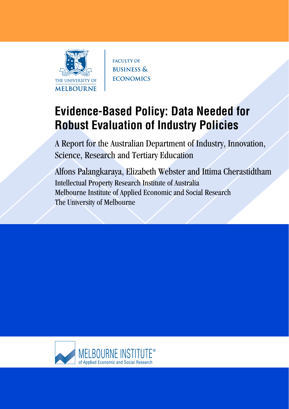

**FACULTY OF BUSINESS & ECONOMICS** 

# **Evidence-Based Policy: Data Needed for Robust Evaluation of Industry Policies**

A Report for the Australian Department of Industry, Innovation, Science, Research and Tertiary Education

Alfons Palangkaraya, Elizabeth Webster and Ittima Cherastidtham Intellectual Property Research Institute of Australia Melbourne Institute of Applied Economic and Social Research The University of Melbourne

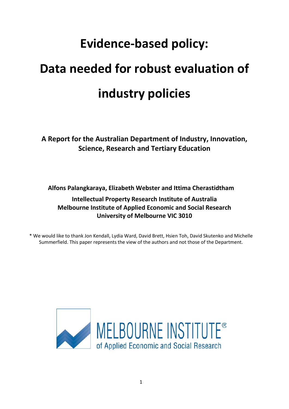# **Evidence-based policy:**

# **Data needed for robust evaluation of industry policies**

**A Report for the Australian Department of Industry, Innovation, Science, Research and Tertiary Education**

**Alfons Palangkaraya, Elizabeth Webster and Ittima Cherastidtham**

# **Intellectual Property Research Institute of Australia Melbourne Institute of Applied Economic and Social Research University of Melbourne VIC 3010**

\* We would like to thank Jon Kendall, Lydia Ward, David Brett, Hsien Toh, David Skutenko and Michelle Summerfield. This paper represents the view of the authors and not those of the Department.

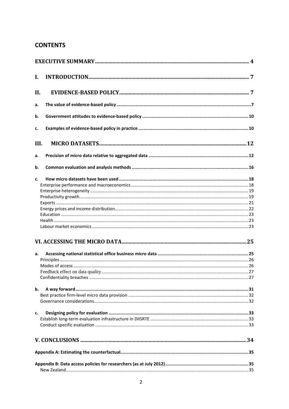# **CONTENTS**

| I.   |  |
|------|--|
| II.  |  |
| a.   |  |
| b.   |  |
| c.   |  |
| III. |  |
| a.   |  |
| b.   |  |
| c.   |  |
|      |  |
|      |  |
|      |  |
|      |  |
|      |  |
|      |  |
|      |  |
|      |  |
|      |  |
| a.   |  |
|      |  |
|      |  |
|      |  |
|      |  |
| b.   |  |
|      |  |
|      |  |
| c.   |  |
|      |  |
|      |  |
|      |  |
|      |  |
|      |  |
|      |  |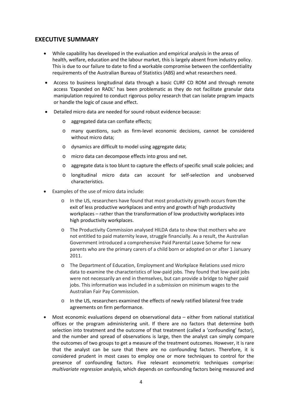# <span id="page-4-0"></span>**EXECUTIVE SUMMARY**

- While capability has developed in the evaluation and empirical analysis in the areas of health, welfare, education and the labour market, this is largely absent from industry policy. This is due to our failure to date to find a workable compromise between the confidentiality requirements of the Australian Bureau of Statistics (ABS) and what researchers need.
- Access to business longitudinal data through a basic CURF CD ROM and through remote access 'Expanded on RADL' has been problematic as they do not facilitate granular data manipulation required to conduct rigorous policy research that can isolate program impacts or handle the logic of cause and effect.
- Detailed micro data are needed for sound robust evidence because:
	- o aggregated data can conflate effects;
	- o many questions, such as firm-level economic decisions, cannot be considered without micro data;
	- o dynamics are difficult to model using aggregate data;
	- o micro data can decompose effects into gross and net.
	- o aggregate data is too blunt to capture the effects of specific small scale policies; and
	- o longitudinal micro data can account for self-selection and unobserved characteristics.
- Examples of the use of micro data include:
	- o In the US, researchers have found that most productivity growth occurs from the exit of less productive workplaces and entry and growth of high productivity workplaces – rather than the transformation of low productivity workplaces into high productivity workplaces.
	- o The Productivity Commission analysed HILDA data to show that mothers who are not entitled to paid maternity leave, struggle financially. As a result, the Australian Government introduced a comprehensive Paid Parental Leave Scheme for new parents who are the primary carers of a child born or adopted on or after 1 January 2011.
	- o The Department of Education, Employment and Workplace Relations used micro data to examine the characteristics of low-paid jobs. They found that low-paid jobs were not necessarily an end in themselves, but can provide a bridge to higher paid jobs. This information was included in a submission on minimum wages to the Australian Fair Pay Commission.
	- o In the US, researchers examined the effects of newly ratified bilateral free trade agreements on firm performance.
- Most economic evaluations depend on observational data either from national statistical offices or the program administering unit. If there are no factors that determine both selection into treatment and the outcome of that treatment (called a 'confounding' factor), and the number and spread of observations is large, then the analyst can simply compare the outcomes of two groups to get a measure of the treatment outcomes. However, it is rare that the analyst can be sure that there are no confounding factors. Therefore, it is considered prudent in most cases to employ one or more techniques to control for the presence of confounding factors. Five relevant econometric techniques comprise: *multivariate regression* analysis, which depends on confounding factors being measured and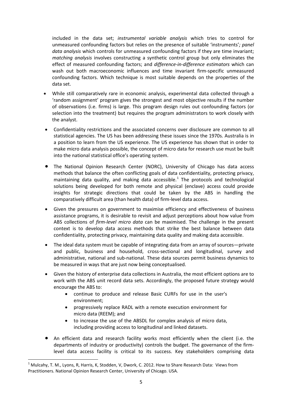included in the data set; *instrumental variable analysis* which tries to control for unmeasured confounding factors but relies on the presence of suitable 'instruments'*; panel data analysis* which controls for unmeasured confounding factors if they are time invariant; *matching analysis* involves constructing a synthetic control group but only eliminates the effect of measured confounding factors; and *difference-in-difference estimators* which can wash out both macroeconomic influences and time invariant firm-specific unmeasured confounding factors. Which technique is most suitable depends on the properties of the data set.

- While still comparatively rare in economic analysis, experimental data collected through a 'random assignment' program gives the strongest and most objective results if the number of observations (i.e. firms) is large. This program design rules out confounding factors (or selection into the treatment) but requires the program administrators to work closely with the analyst.
- Confidentiality restrictions and the associated concerns over disclosure are common to all statistical agencies. The US has been addressing these issues since the 1970s. Australia is in a position to learn from the US experience. The US experience has shown that in order to make micro data analysis possible, the concept of micro data for research use must be built into the national statistical office's operating system.
- The National Opinion Research Center (NORC), University of Chicago has data access methods that balance the often conflicting goals of data confidentiality, protecting privacy, maintaining data quality, and making data accessible. [1](#page-5-0) The protocols and technological solutions being developed for both remote and physical (enclave) access could provide insights for strategic directions that could be taken by the ABS in handling the comparatively difficult area (than health data) of firm-level data access.
- Given the pressures on government to maximise efficiency and effectiveness of business assistance programs, it is desirable to revisit and adjust perceptions about how value from ABS collections of *firm-level micro data* can be maximised. The challenge in the present context is to develop data access methods that strike the best balance between data confidentiality, protecting privacy, maintaining data quality and making data accessible.
- The ideal data system must be capable of integrating data from an array of sources—private and public, business and household, cross-sectional and longitudinal, survey and administrative, national and sub-national. These data sources permit business dynamics to be measured in ways that are just now being conceptualised.
- Given the history of enterprise data collections in Australia, the most efficient options are to work with the ABS unit record data sets. Accordingly, the proposed future strategy would encourage the ABS to:
	- continue to produce and release Basic CURFs for use in the user's environment;
	- progressively replace RADL with a remote execution environment for micro data (REEM); and
	- to increase the use of the ABSDL for complex analysis of micro data, including providing access to longitudinal and linked datasets.
- An efficient data and research facility works most efficiently when the client (i.e. the departments of industry or productivity) controls the budget. The governance of the firmlevel data access facility is critical to its success. Key stakeholders comprising data

<span id="page-5-0"></span> $1$  Mulcahy, T. M., Lyons, R, Harris, K, Stodden, V, Dwork, C. 2012. How to Share Research Data: Views from Practitioners. National Opinion Research Center, University of Chicago. USA.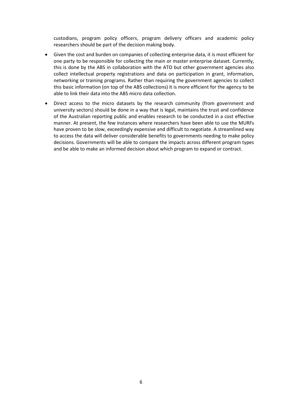custodians, program policy officers, program delivery officers and academic policy researchers should be part of the decision making body.

- Given the cost and burden on companies of collecting enterprise data, it is most efficient for one party to be responsible for collecting the main or master enterprise dataset. Currently, this is done by the ABS in collaboration with the ATO but other government agencies also collect intellectual property registrations and data on participation in grant, information, networking or training programs. Rather than requiring the government agencies to collect this basic information (on top of the ABS collections) it is more efficient for the agency to be able to link their data into the ABS micro data collection.
- Direct access to the micro datasets by the research community (from government and university sectors) should be done in a way that is legal, maintains the trust and confidence of the Australian reporting public and enables research to be conducted in a cost effective manner. At present, the few instances where researchers have been able to use the MURFs have proven to be slow, exceedingly expensive and difficult to negotiate. A streamlined way to access the data will deliver considerable benefits to governments needing to make policy decisions. Governments will be able to compare the impacts across different program types and be able to make an informed decision about which program to expand or contract.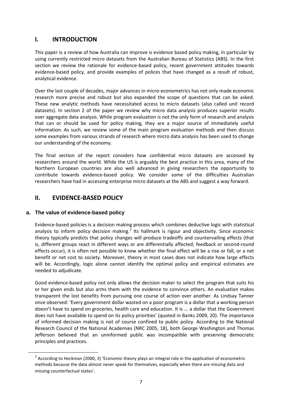# <span id="page-7-0"></span>**I. INTRODUCTION**

This paper is a review of how Australia can improve is evidence based policy making, in particular by using currently restricted micro datasets from the Australian Bureau of Statistics (ABS). In the first section we review the rationale for evidence-based policy, recent government attitudes towards evidence-based policy, and provide examples of polices that have changed as a result of robust, analytical evidence.

Over the last couple of decades, major advances in micro-econometrics has not only made economic research more precise and robust but also expanded the scope of questions that can be asked. These new analytic methods have necessitated access to micro datasets (also called unit record datasets). In section 2 of the paper we review why micro data analysis produces superior results over aggregate data analysis. While program evaluation is not the only form of research and analysis that can or should be used for policy making, they are a major source of immediately useful information. As such, we review some of the main program evaluation methods and then discuss some examples from various strands of research where micro data analysis has been used to change our understanding of the economy.

The final section of the report considers how confidential micro datasets are accessed by researchers around the world. While the US is arguably the best practice in this area, many of the Northern European countries are also well advanced in giving researchers the opportunity to contribute towards evidence-based policy. We consider some of the difficulties Australian researchers have had in accessing enterprise micro datasets at the ABS and suggest a way forward.

# <span id="page-7-2"></span><span id="page-7-1"></span>**II. EVIDENCE-BASED POLICY**

# **a. The value of evidence-based policy**

Evidence-based policies is a decision making process which combines deductive logic with statistical analysis to inform policy decision making.<sup>[2](#page-7-3)</sup> Its hallmark is rigour and objectivity. Since economic theory typically predicts that policy changes will produce tradeoffs and countervailing effects (that is, different groups react in different ways or are differentially affected; feedback or second-round effects occur), it is often not possible to know whether the final effect will be a rise or fall, or a net benefit or net cost to society. Moreover, theory in most cases does not indicate how large effects will be. Accordingly, logic alone cannot identify the optimal policy and empirical estimates are needed to adjudicate.

Good evidence-based policy not only allows the decision maker to select the program that suits his or her given ends but also arms them with the evidence to convince others. An evaluation makes transparent the lost benefits from pursuing one course of action over another. As Lindsay Tanner once observed: 'Every government dollar wasted on a poor program is a dollar that a working person doesn't have to spend on groceries, health care and education. It is ... a dollar that the Government does not have available to spend on its policy priorities' (quoted in Banks 2009, 20). The importance of informed decision making is not of course confined to public policy. According to the National Research Council of the National Academies (NRC 2005, 18), both George Washington and Thomas Jefferson believed that an uninformed public was incompatible with preserving democratic principles and practices.

<span id="page-7-3"></span><sup>&</sup>lt;sup>2</sup> According to Heckman (2000, 3) 'Economic theory plays an integral role in the application of econometric methods because the data almost never speak for themselves, especially when there are missing data and missing counterfactual states'.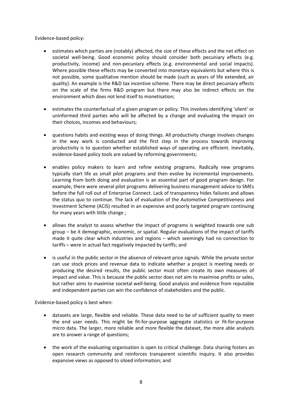Evidence-based policy:

- estimates which parties are (notably) affected, the size of these effects and the net effect on societal well-being. Good economic policy should consider both pecuniary effects (e.g. productivity, income) and non-pecuniary effects (e.g. environmental and social impacts). Where possible these effects may be converted into monetary equivalents but where this is not possible, some qualitative mention should be made (such as years of life extended, air quality). An example is the R&D tax incentive scheme. There may be direct pecuniary effects on the scale of the firms R&D program but there may also be indirect effects on the environment which does not lend itself to monetisation;
- estimates the counterfactual of a given program or policy. This involves identifying 'silent' or uninformed third parties who will be affected by a change and evaluating the impact on their choices, incomes and behaviours;
- questions habits and existing ways of doing things. All productivity change involves changes in the way work is conducted and the first step in the process towards improving productivity is to question whether established ways of operating are efficient. Inevitably, evidence-based policy tools are valued by reforming governments;
- enables policy makers to learn and refine existing programs. Radically new programs typically start life as small pilot programs and then evolve by incremental improvements. Learning from both doing and evaluation is an essential part of good program design. For example, there were several pilot programs delivering business management advice to SMEs before the full roll out of Enterprise Connect. Lack of transparency hides failures and allows the status quo to continue. The lack of evaluation of the Automotive Competitiveness and Investment Scheme (ACIS) resulted in an expensive and poorly targeted program continuing for many years with little change ;
- allows the analyst to assess whether the impact of programs is weighted towards one sub group – be it demographic, economic, or spatial. Regular evaluations of the impact of tariffs made it quite clear which industries and regions – which seemingly had no connection to tariffs – were in actual fact negatively impacted by tariffs; and
- is useful in the public sector in the absence of relevant price signals. While the private sector can use stock prices and revenue data to indicate whether a project is meeting needs or producing the desired results, the public sector must often create its own measures of impact and value. This is because the public sector does not aim to maximise profits or sales, but rather aims to maximise societal well-being. Good analysis and evidence from reputable and independent parties can win the confidence of stakeholders and the public.

Evidence-based policy is best when:

- datasets are large, flexible and reliable. These data need to be of sufficient quality to meet the end user needs. This might be fit-for-purpose aggregate statistics or fit-for-purpose micro data. The larger, more reliable and more flexible the dataset, the more able analysts are to answer a range of questions;
- the work of the evaluating organisation is open to critical challenge. Data sharing fosters an open research community and reinforces transparent scientific inquiry. It also provides expansive views as opposed to siloed information; and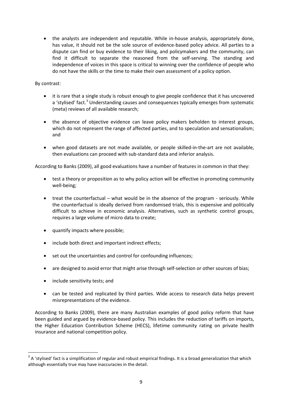• the analysts are independent and reputable. While in-house analysis, appropriately done, has value, it should not be the sole source of evidence-based policy advice. All parties to a dispute can find or buy evidence to their liking, and policymakers and the community, can find it difficult to separate the reasoned from the self-serving. The standing and independence of voices in this space is critical to winning over the confidence of people who do not have the skills or the time to make their own assessment of a policy option.

# By contrast:

- it is rare that a single study is robust enough to give people confidence that it has uncovered a 'stylised' fact.<sup>[3](#page-9-0)</sup> Understanding causes and consequences typically emerges from systematic (meta) reviews of all available research;
- the absence of objective evidence can leave policy makers beholden to interest groups, which do not represent the range of affected parties, and to speculation and sensationalism; and
- when good datasets are not made available, or people skilled-in-the-art are not available, then evaluations can proceed with sub-standard data and inferior analysis.

According to Banks (2009), all good evaluations have a number of features in common in that they:

- test a theory or proposition as to why policy action will be effective in promoting community well-being;
- treat the counterfactual what would be in the absence of the program seriously. While the counterfactual is ideally derived from randomised trials, this is expensive and politically difficult to achieve in economic analysis. Alternatives, such as synthetic control groups, requires a large volume of micro data to create;
- quantify impacts where possible;
- include both direct and important indirect effects;
- set out the uncertainties and control for confounding influences;
- are designed to avoid error that might arise through self-selection or other sources of bias;
- include sensitivity tests; and
- can be tested and replicated by third parties. Wide access to research data helps prevent misrepresentations of the evidence.

According to Banks (2009), there are many Australian examples of good policy reform that have been guided and argued by evidence-based policy. This includes the reduction of tariffs on imports, the Higher Education Contribution Scheme (HECS), lifetime community rating on private health insurance and national competition policy.

<span id="page-9-0"></span> $3$  A 'stylised' fact is a simplification of regular and robust empirical findings. It is a broad generalization that which although essentially true may have inaccuracies in the detail.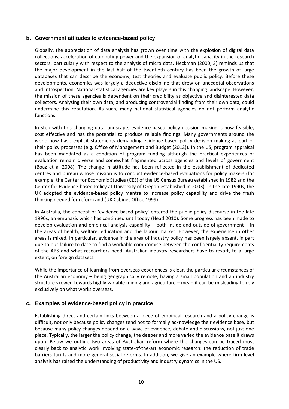### <span id="page-10-0"></span>**b. Government attitudes to evidence-based policy**

Globally, the appreciation of data analysis has grown over time with the explosion of digital data collections, acceleration of computing power and the expansion of analytic capacity in the research sectors, particularly with respect to the analysis of micro data. Heckman (2000, 3) reminds us that the major development in the last half of the twentieth century has been the growth of large databases that can describe the economy, test theories and evaluate public policy. Before these developments, economics was largely a deductive discipline that drew on anecdotal observations and introspection. National statistical agencies are key players in this changing landscape. However, the mission of these agencies is dependent on their credibility as objective and disinterested data collectors. Analysing their own data, and producing controversial finding from their own data, could undermine this reputation. As such, many national statistical agencies do not perform analytic functions.

In step with this changing data landscape, evidence-based policy decision making is now feasible, cost effective and has the potential to produce reliable findings. Many governments around the world now have explicit statements demanding evidence-based policy decision making as part of their policy processes (e.g. Office of Management and Budget (2012)). In the US, program appraisal has been mandated as a condition of program funding although the practical experiences of evaluation remain diverse and somewhat fragmented across agencies and levels of government (Boaz et al 2008). The change in attitude has been reflected in the establishment of dedicated centres and bureau whose mission is to conduct evidence-based evaluations for policy makers (for example, the Center for Economic Studies (CES) of the US Census Bureau established in 1982 and the Center for Evidence-based Policy at University of Oregon established in 2003). In the late 1990s, the UK adopted the evidence-based policy mantra to increase policy capability and drive the fresh thinking needed for reform and (UK Cabinet Office 1999).

In Australia, the concept of 'evidence-based policy' entered the public policy discourse in the late 1990s; an emphasis which has continued until today (Head 2010). Some progress has been made to develop evaluation and empirical analysis capability – both inside and outside of government – in the areas of health, welfare, education and the labour market. However, the experience in other areas is mixed. In particular, evidence in the area of industry policy has been largely absent, in part due to our failure to date to find a workable compromise between the confidentiality requirements of the ABS and what researchers need. Australian industry researchers have to resort, to a large extent, on foreign datasets.

While the importance of learning from overseas experiences is clear, the particular circumstances of the Australian economy – being geographically remote, having a small population and an industry structure skewed towards highly variable mining and agriculture – mean it can be misleading to rely exclusively on what works overseas.

#### <span id="page-10-1"></span>**c. Examples of evidence-based policy in practice**

Establishing direct and certain links between a piece of empirical research and a policy change is difficult, not only because policy changes tend not to formally acknowledge their evidence base, but because many policy changes depend on a wave of evidence, debate and discussions, not just one piece. Typically, the larger the policy change, the deeper and more varied the evidence base it draws upon. Below we outline two areas of Australian reform where the changes can be traced most clearly back to analytic work involving state-of-the-art economic research: the reduction of trade barriers tariffs and more general social reforms. In addition, we give an example where firm-level analysis has raised the understanding of productivity and industry dynamics in the US.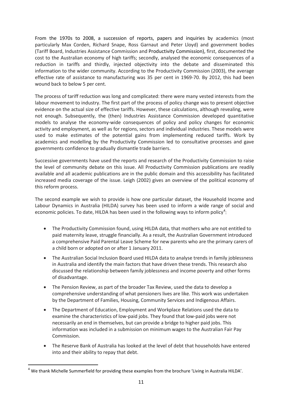From the 1970s to 2008, a succession of reports, papers and inquiries by academics (most particularly Max Corden, Richard Snape, Ross Garnaut and Peter Lloyd) and government bodies (Tariff Board, Industries Assistance Commission and Productivity Commission), first, documented the cost to the Australian economy of high tariffs; secondly, analysed the economic consequences of a reduction in tariffs and thirdly, injected objectivity into the debate and disseminated this information to the wider community. According to the Productivity Commission (2003), the average effective rate of assistance to manufacturing was 35 per cent in 1969-70. By 2012, this had been wound back to below 5 per cent.

The process of tariff reduction was long and complicated: there were many vested interests from the labour movement to industry. The first part of the process of policy change was to present objective evidence on the actual size of effective tariffs. However, these calculations, although revealing, were not enough. Subsequently, the (then) Industries Assistance Commission developed quantitative models to analyse the economy-wide consequences of policy and policy changes for economic activity and employment, as well as for regions, sectors and individual industries. These models were used to make estimates of the potential gains from implementing reduced tariffs. Work by academics and modelling by the Productivity Commission led to consultative processes and gave governments confidence to gradually dismantle trade barriers.

Successive governments have used the reports and research of the Productivity Commission to raise the level of community debate on this issue. All Productivity Commission publications are readily available and all academic publications are in the public domain and this accessibility has facilitated increased media coverage of the issue. Leigh (2002) gives an overview of the political economy of this reform process.

The second example we wish to provide is how one particular dataset, the Household Income and Labour Dynamics in Australia (HILDA) survey has been used to inform a wide range of social and economic policies. To date, HILDA has been used in the following ways to inform policy<sup>[4](#page-11-0)</sup>:

- The Productivity Commission found, using HILDA data, that mothers who are not entitled to paid maternity leave, struggle financially. As a result, the Australian Government introduced a comprehensive Paid Parental Leave Scheme for new parents who are the primary carers of a child born or adopted on or after 1 January 2011.
- The Australian Social Inclusion Board used HILDA data to analyse trends in family joblessness in Australia and identify the main factors that have driven these trends. This research also discussed the relationship between family joblessness and income poverty and other forms of disadvantage.
- The Pension Review, as part of the broader Tax Review, used the data to develop a comprehensive understanding of what pensioners lives are like. This work was undertaken by the Department of Families, Housing, Community Services and Indigenous Affairs.
- The Department of Education, Employment and Workplace Relations used the data to examine the characteristics of low-paid jobs. They found that low-paid jobs were not necessarily an end in themselves, but can provide a bridge to higher paid jobs. This information was included in a submission on minimum wages to the Australian Fair Pay Commission.
- The Reserve Bank of Australia has looked at the level of debt that households have entered into and their ability to repay that debt.

<span id="page-11-0"></span> $4$  We thank Michelle Summerfield for providing these examples from the brochure 'Living in Australia HILDA'.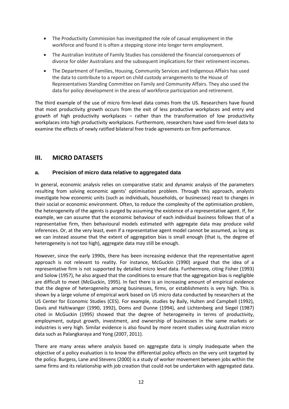- The Productivity Commission has investigated the role of casual employment in the workforce and found it is often a stepping stone into longer term employment.
- The Australian Institute of Family Studies has considered the financial consequences of divorce for older Australians and the subsequent implications for their retirement incomes.
- The Department of Families, Housing, Community Services and Indigenous Affairs has used the data to contribute to a report on child custody arrangements to the House of Representatives Standing Committee on Family and Community Affairs. They also used the data for policy development in the areas of workforce participation and retirement.

The third example of the use of micro firm-level data comes from the US. Researchers have found that most productivity growth occurs from the exit of less productive workplaces and entry and growth of high productivity workplaces – rather than the transformation of low productivity workplaces into high productivity workplaces. Furthermore, researchers have used firm-level data to examine the effects of newly ratified bilateral free trade agreements on firm performance.

# <span id="page-12-1"></span><span id="page-12-0"></span>**III. MICRO DATASETS**

# **a. Precision of micro data relative to aggregated data**

In general, economic analysis relies on comparative static and dynamic analysis of the parameters resulting from solving economic agents' optimisation problem. Through this approach, analysts investigate how economic units (such as individuals, households, or businesses) react to changes in their social or economic environment. Often, to reduce the complexity of the optimisation problem, the heterogeneity of the agents is purged by assuming the existence of a representative agent. If, for example, we can assume that the economic behaviour of each individual business follows that of a representative firm, then behavioural models estimated with aggregate data may produce valid inferences. Or, at the very least, even if a representative agent model cannot be assumed, as long as we can instead assume that the extent of aggregation bias is small enough (that is, the degree of heterogeneity is not too high), aggregate data may still be enough.

However, since the early 1990s, there has been increasing evidence that the representative agent approach is not relevant to reality. For instance, McGuckin (1990) argued that the idea of a representative firm is not supported by detailed micro level data. Furthermore, citing Fisher (1993) and Solow (1957), he also argued that the conditions to ensure that the aggregation bias is negligible are difficult to meet (McGuckin, 1995). In fact there is an increasing amount of empirical evidence that the degree of heterogeneity among businesses, firms, or establishments is very high. This is shown by a large volume of empirical work based on US micro data conducted by researchers at the US Center for Economic Studies (CES). For example, studies by Baily, Hulten and Campbell (1992), Davis and Haltiwanger (1990, 1992), Doms and Dunne (1994), and Lichtenberg and Siegel (1987) cited in McGuckin (1995) showed that the degree of heterogeneity in terms of productivity, employment, output growth, investment, and ownership of businesses in the same markets or industries is very high. Similar evidence is also found by more recent studies using Australian micro data such as Palangkaraya and Yong (2007, 2011).

There are many areas where analysis based on aggregate data is simply inadequate when the objective of a policy evaluation is to know the differential policy effects on the very unit targeted by the policy. Burgess, Lane and Stevens (2000) is a study of worker movement between jobs within the same firms and its relationship with job creation that could not be undertaken with aggregated data.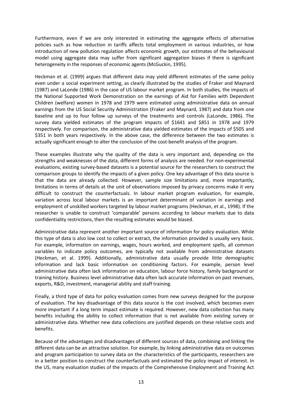Furthermore, even if we are only interested in estimating the aggregate effects of alternative policies such as how reduction in tariffs affects total employment in various industries, or how introduction of new pollution regulation affects economic growth, our estimates of the behavioural model using aggregate data may suffer from significant aggregation biases if there is significant heterogeneity in the responses of economic agents (McGuckin, 1995).

Heckman et al. (1999) argues that different data may yield different estimates of the same policy even under a social experiment setting, as clearly illustrated by the studies of Fraker and Maynard (1987) and LaLonde (1986) in the case of US labour market program. In both studies, the impacts of the National Supported Work Demonstration on the earnings of Aid for Families with Dependent Children (welfare) women in 1978 and 1979 were estimated using administrative data on annual earnings from the US Social Security Administration (Fraker and Maynard, 1987) and data from one baseline and up to four follow up surveys of the treatments and controls (LaLonde, 1986). The survey data yielded estimates of the program impacts of \$1641 and \$851 in 1978 and 1979 respectively. For comparison, the administrative data yielded estimates of the impacts of \$505 and \$351 in both years respectively. In the above case, the difference between the two estimates is actually significant enough to alter the conclusion of the cost-benefit analysis of the program.

These examples illustrate why the quality of the data is very important and, depending on the strengths and weaknesses of the data, different forms of analysis are needed. For non-experimental evaluations, existing survey-based datasets is a potential source for the researchers to construct the comparison groups to identify the impacts of a given policy. One key advantage of this data source is that the data are already collected. However, sample size limitations and, more importantly, limitations in terms of details at the unit of observations imposed by privacy concerns make it very difficult to construct the counterfactuals. In labour market program evaluation, for example, variation across local labour markets is an important determinant of variation in earnings and employment of unskilled workers targeted by labour market programs (Heckman, et al., 1998). If the researcher is unable to construct 'comparable' persons according to labour markets due to data confidentiality restrictions, then the resulting estimates would be biased.

Administrative data represent another important source of information for policy evaluation. While this type of data is also low cost to collect or extract, the information provided is usually very basic. For example, information on earnings, wages, hours worked, and employment spells, all common variables to indicate policy outcomes, are typically not available from administrative datasets (Heckman, et al. 1999). Additionally, administrative data usually provide little demographic information and lack basic information on conditioning factors. For example, person level administrative data often lack information on education, labour force history, family background or training history. Business level administrative data often lack accurate information on past revenues, exports, R&D, investment, managerial ability and staff training.

Finally, a third type of data for policy evaluation comes from new surveys designed for the purpose of evaluation. The key disadvantage of this data source is the cost involved, which becomes even more important if a long term impact estimate is required. However, new data collection has many benefits including the ability to collect information that is not available from existing survey or administrative data. Whether new data collections are justified depends on these relative costs and benefits.

Because of the advantages and disadvantages of different sources of data, combining and linking the different data can be an attractive solution. For example, by linking administrative data on outcomes and program participation to survey data on the characteristics of the participants, researchers are in a better position to construct the counterfactuals and estimated the policy impact of interest. In the US, many evaluation studies of the impacts of the Comprehensive Employment and Training Act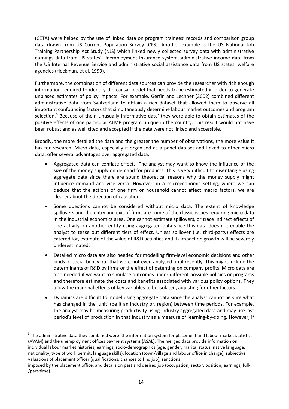(CETA) were helped by the use of linked data on program trainees' records and comparison group data drawn from US Current Population Survey (CPS). Another example is the US National Job Training Partnership Act Study (NJS) which linked newly collected survey data with administrative earnings data from US states' Unemployment Insurance system, administrative income data from the US Internal Revenue Service and administrative social assistance data from US states' welfare agencies (Heckman, et al. 1999).

Furthermore, the combination of different data sources can provide the researcher with rich enough information required to identify the causal model that needs to be estimated in order to generate unbiased estimates of policy impacts. For example, Gerfin and Lechner (2002) combined different administrative data from Switzerland to obtain a rich dataset that allowed them to observe all important confounding factors that simultaneously determine labour market outcomes and program selection.<sup>[5](#page-14-0)</sup> Because of their 'unusually informative data' they were able to obtain estimates of the positive effects of one particular ALMP program unique in the country. This result would not have been robust and as well cited and accepted if the data were not linked and accessible.

Broadly, the more detailed the data and the greater the number of observations, the more value it has for research. Micro data, especially if organised as a panel dataset and linked to other micro data, offer several advantages over aggregated data:

- Aggregated data can conflate effects. The analyst may want to know the influence of the size of the money supply on demand for products. This is very difficult to disentangle using aggregate data since there are sound theoretical reasons why the money supply might influence demand and vice versa. However, in a microeconomic setting, where we can deduce that the actions of one firm or household cannot affect macro factors, we are clearer about the direction of causation.
- Some questions cannot be considered without micro data. The extent of knowledge spillovers and the entry and exit of firms are some of the classic issues requiring micro data in the industrial economics area. One cannot estimate spillovers, or trace indirect effects of one activity on another entity using aggregated data since this data does not enable the analyst to tease out different tiers of effect. Unless spillover (i.e. third-party) effects are catered for, estimate of the value of R&D activities and its impact on growth will be severely underestimated.
- Detailed micro data are also needed for modelling firm-level economic decisions and other kinds of social behaviour that were not even analysed until recently. This might include the determinants of R&D by firms or the effect of patenting on company profits. Micro data are also needed if we want to simulate outcomes under different possible policies or programs and therefore estimate the costs and benefits associated with various policy options. They allow the marginal effects of key variables to be isolated, adjusting for other factors.
- Dynamics are difficult to model using aggregate data since the analyst cannot be sure what has changed in the 'unit' (be it an industry or, region) between time periods. For example, the analyst may be measuring productivity using industry aggregated data and may use last period's level of production in that industry as a measure of learning-by-doing. However, if

<span id="page-14-0"></span><sup>&</sup>lt;sup>5</sup> The administrative data they combined were: the information system for placement and labour market statistics (AVAM) and the unemployment offices payment systems (ASAL). The merged data provide information on individual labour market histories, earnings, socio-demographics (age, gender, marital status, native language, nationality, type of work permit, language skills), location (town/village and labour office in charge), subjective valuations of placement officer (qualifications, chances to find job), sanctions

imposed by the placement office, and details on past and desired job (occupation, sector, position, earnings, full- /part-time).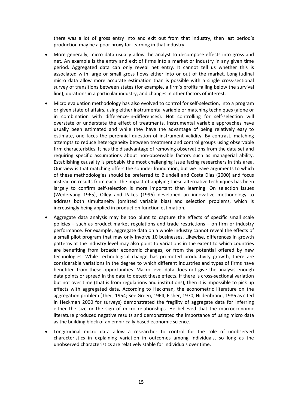there was a lot of gross entry into and exit out from that industry, then last period's production may be a poor proxy for learning in that industry.

- More generally, micro data usually allow the analyst to decompose effects into gross and net. An example is the entry and exit of firms into a market or industry in any given time period. Aggregated data can only reveal net entry. It cannot tell us whether this is associated with large or small gross flows either into or out of the market. Longitudinal micro data allow more accurate estimation than is possible with a single cross-sectional survey of transitions between states (for example, a firm's profits falling below the survival line), durations in a particular industry, and changes in other factors of interest.
- Micro evaluation methodology has also evolved to control for self-selection, into a program or given state of affairs, using either instrumental variable or matching techniques (alone or in combination with difference-in-differences). Not controlling for self-selection will overstate or understate the effect of treatments. Instrumental variable approaches have usually been estimated and while they have the advantage of being relatively easy to estimate, one faces the perennial question of instrument validity. By contrast, matching attempts to reduce heterogeneity between treatment and control groups using observable firm characteristics. It has the disadvantage of removing observations from the data set and requiring specific assumptions about non-observable factors such as managerial ability. Establishing causality is probably the most challenging issue facing researchers in this area. Our view is that matching offers the sounder foundation, but we leave arguments to which of these methodologies should be preferred to Blundell and Costa Dias (2000) and focus instead on results from each. The impact of applying these alternative techniques has been largely to confirm self-selection is more important than learning. On selection issues (Wedervang 1965), Olley and Pakes (1996) developed an innovative methodology to address both simultaneity (omitted variable bias) and selection problems, which is increasingly being applied in production function estimation.
- Aggregate data analysis may be too blunt to capture the effects of specific small scale policies – such as product market regulations and trade restrictions – on firm or industry performance. For example, aggregate data on a whole industry cannot reveal the effects of a small pilot program that may only involve 10 businesses. Likewise, differences in growth patterns at the industry level may also point to variations in the extent to which countries are benefiting from broader economic changes, or from the potential offered by new technologies. While technological change has promoted productivity growth, there are considerable variations in the degree to which different industries and types of firms have benefited from these opportunities. Macro level data does not give the analysis enough data points or spread in the data to detect these effects. If there is cross-sectional variation but not over time (that is from regulations and institutions), then it is impossible to pick up effects with aggregated data. According to Heckman, the econometric literature on the aggregation problem (Theil, 1954; See Green, 1964, Fisher, 1970, Hildenbrand, 1986 as cited in Heckman 2000 for surveys) demonstrated the fragility of aggregate data for inferring either the size or the sign of micro relationships. He believed that the macroeconomic literature produced negative results and demonstrated the importance of using micro data as the building block of an empirically based economic science.
- Longitudinal micro data allow a researcher to control for the role of unobserved characteristics in explaining variation in outcomes among individuals, so long as the unobserved characteristics are relatively stable for individuals over time.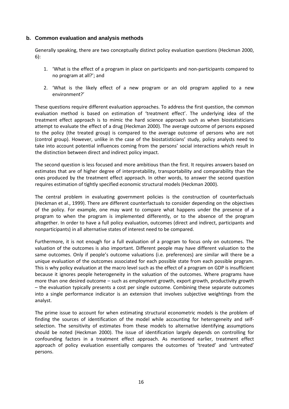# <span id="page-16-0"></span>**b. Common evaluation and analysis methods**

Generally speaking, there are two conceptually distinct policy evaluation questions (Heckman 2000, 6):

- 1. 'What is the effect of a program in place on participants and non-participants compared to no program at all?'; and
- 2. 'What is the likely effect of a new program or an old program applied to a new environment?'

These questions require different evaluation approaches. To address the first question, the common evaluation method is based on estimation of 'treatment effect'. The underlying idea of the treatment effect approach is to mimic the hard science approach such as when biostatisticians attempt to evaluate the effect of a drug (Heckman 2000). The average outcome of persons exposed to the policy (the treated group) is compared to the average outcome of persons who are not (control group). However, unlike in the case of the biostatisticians' study, policy analysts need to take into account potential influences coming from the persons' social interactions which result in the distinction between direct and indirect policy impact.

The second question is less focused and more ambitious than the first. It requires answers based on estimates that are of higher degree of interpretability, transportability and comparability than the ones produced by the treatment effect approach. In other words, to answer the second question requires estimation of tightly specified economic structural models (Heckman 2000).

The central problem in evaluating government policies is the construction of counterfactuals (Heckman et al., 1999). There are different counterfactuals to consider depending on the objectives of the policy. For example, one may want to compare what happens under the presence of a program to when the program is implemented differently, or to the absence of the program altogether. In order to have a full policy evaluation, outcomes (direct and indirect, participants and nonparticipants) in all alternative states of interest need to be compared.

Furthermore, it is not enough for a full evaluation of a program to focus only on outcomes. The valuation of the outcomes is also important. Different people may have different valuation to the same outcomes. Only if people's outcome valuations (i.e. preferences) are similar will there be a unique evaluation of the outcomes associated for each possible state from each possible program. This is why policy evaluation at the macro level such as the effect of a program on GDP is insufficient because it ignores people heterogeneity in the valuation of the outcomes. Where programs have more than one desired outcome – such as employment growth, export growth, productivity growth – the evaluation typically presents a cost per single outcome. Combining these separate outcomes into a single performance indicator is an extension that involves subjective weightings from the analyst.

The prime issue to account for when estimating structural econometric models is the problem of finding the sources of identification of the model while accounting for heterogeneity and selfselection. The sensitivity of estimates from these models to alternative identifying assumptions should be noted (Heckman 2000). The issue of identification largely depends on controlling for confounding factors in a treatment effect approach. As mentioned earlier, treatment effect approach of policy evaluation essentially compares the outcomes of 'treated' and 'untreated' persons.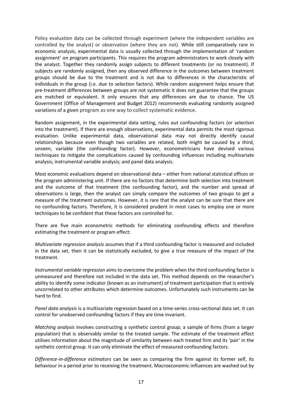Policy evaluation data can be collected through experiment (where the independent variables are controlled by the analyst) or observation (where they are not). While still comparatively rare in economic analysis, experimental data is usually collected through the implementation of 'random assignment' on program participants. This requires the program administrators to work closely with the analyst. Together they randomly assign subjects to different treatments (or no treatment). If subjects are randomly assigned, then any observed difference in the outcomes between treatment groups should be due to the treatment and is not due to differences in the characteristic of individuals in the group (i.e. due to selection factors). While random assignment helps ensure that pre-treatment differences between groups are not systematic it does not guarantee that the groups are matched or equivalent. It only ensures that any differences are due to chance. The US Government (Office of Management and Budget 2012) recommends evaluating randomly assigned variations of a given program as one way to collect systematic evidence.

Random assignment, in the experimental data setting, rules out confounding factors (or selection into the treatment). If there are enough observations, experimental data permits the most rigorous evaluation. Unlike experimental data, observational data may not directly identify causal relationships because even though two variables are related, both might be caused by a third, unseen, variable (the confounding factor). However, econometricians have devised various techniques to mitigate the complications caused by confounding influences including multivariate analysis; instrumental variable analysis; and panel data analysis.

Most economic evaluations depend on observational data – either from national statistical offices or the program administering unit. If there are no factors that determine both selection into treatment and the outcome of that treatment (the confounding factor), and the number and spread of observations is large, then the analyst can simply compare the outcomes of two groups to get a measure of the treatment outcomes. However, it is rare that the analyst can be sure that there are no confounding factors. Therefore, it is considered prudent in most cases to employ one or more techniques to be confident that these factors are controlled for.

There are five main econometric methods for eliminating confounding effects and therefore estimating the treatment or program effect:

*Multivariate regression analysis* assumes that if a third confounding factor is measured and included in the data set, then it can be statistically excluded, to give a true measure of the impact of the treatment.

*Instrumental variable regression* aims to overcome the problem when the third confounding factor is unmeasured and therefore not included in the data set. This method depends on the researcher's ability to identify some indicator (known as an instrument) of treatment participation that is entirely uncorrelated to other attributes which determine outcomes. Unfortunately such instruments can be hard to find.

*Panel data analysis* is a multivariate regression based on a time-series cross-sectional data set. It can control for unobserved confounding factors if they are time invariant.

*Matching analysis* involves constructing a synthetic control group; a sample of firms (from a larger population) that is observably similar to the treated sample. The estimate of the treatment effect utilises information about the magnitude of similarity between each treated firm and its 'pair' in the synthetic control group. It can only eliminate the effect of measured confounding factors.

*Difference-in-difference estimators* can be seen as comparing the firm against its former self, its behaviour in a period prior to receiving the treatment. Macroeconomic influences are washed out by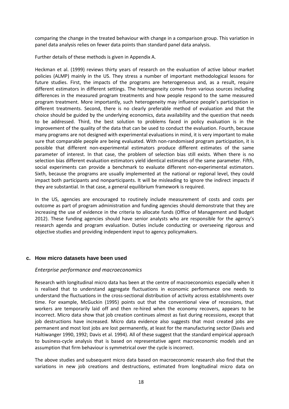comparing the change in the treated behaviour with change in a comparison group. This variation in panel data analysis relies on fewer data points than standard panel data analysis.

Further details of these methods is given in Appendix A.

Heckman et al. (1999) reviews thirty years of research on the evaluation of active labour market policies (ALMP) mainly in the US. They stress a number of important methodological lessons for future studies. First, the impacts of the programs are heterogeneous and, as a result, require different estimators in different settings. The heterogeneity comes from various sources including differences in the measured program treatments and how people respond to the same measured program treatment. More importantly, such heterogeneity may influence people's participation in different treatments. Second, there is no clearly preferable method of evaluation and that the choice should be guided by the underlying economics, data availability and the question that needs to be addressed. Third, the best solution to problems faced in policy evaluation is in the improvement of the quality of the data that can be used to conduct the evaluation. Fourth, because many programs are not designed with experimental evaluations in mind, it is very important to make sure that comparable people are being evaluated. With non-randomised program participation, it is possible that different non-experimental estimators produce different estimates of the same parameter of interest. In that case, the problem of selection bias still exists. When there is no selection bias different evaluation estimators yield identical estimates of the same parameter. Fifth, social experiments can provide a benchmark to evaluate different non-experimental estimators. Sixth, because the programs are usually implemented at the national or regional level, they could impact both participants and nonparticipants. It will be misleading to ignore the indirect impacts if they are substantial. In that case, a general equilibrium framework is required.

In the US, agencies are encouraged to routinely include measurement of costs and costs per outcome as part of program administration and funding agencies should demonstrate that they are increasing the use of evidence in the criteria to allocate funds (Office of Management and Budget 2012). These funding agencies should have senior analysts who are responsible for the agency's research agenda and program evaluation. Duties include conducting or overseeing rigorous and objective studies and providing independent input to agency policymakers.

# <span id="page-18-0"></span>**c. How micro datasets have been used**

#### <span id="page-18-1"></span>*Enterprise performance and macroeconomics*

Research with longitudinal micro data has been at the centre of macroeconomics especially when it is realised that to understand aggregate fluctuations in economic performance one needs to understand the fluctuations in the cross-sectional distribution of activity across establishments over time. For example, McGuckin (1995) points out that the conventional view of recessions, that workers are temporarily laid off and then re-hired when the economy recovers, appears to be incorrect. Micro data show that job creation continues almost as fast during recessions, except that job destructions have increased. Micro data evidence also suggests that most created jobs are permanent and most lost jobs are lost permanently, at least for the manufacturing sector (Davis and Haltiwanger 1990, 1992; Davis et al. 1994). All of these suggest that the standard empirical approach to business-cycle analysis that is based on representative agent macroeconomic models and an assumption that firm behaviour is symmetrical over the cycle is incorrect.

The above studies and subsequent micro data based on macroeconomic research also find that the variations in new job creations and destructions, estimated from longitudinal micro data on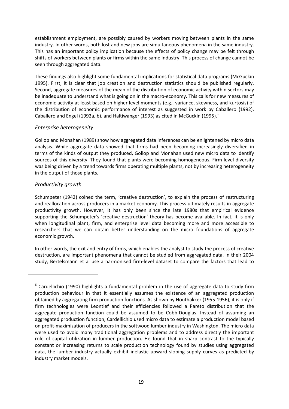establishment employment, are possibly caused by workers moving between plants in the same industry. In other words, both lost and new jobs are simultaneous phenomena in the same industry. This has an important policy implication because the effects of policy change may be felt through shifts of workers between plants or firms within the same industry. This process of change cannot be seen through aggregated data.

These findings also highlight some fundamental implications for statistical data programs (McGuckin 1995). First, it is clear that job creation and destruction statistics should be published regularly. Second, aggregate measures of the mean of the distribution of economic activity within sectors may be inadequate to understand what is going on in the macro-economy. This calls for new measures of economic activity at least based on higher level moments (e.g., variance, skewness, and kurtosis) of the distribution of economic performance of interest as suggested in work by Caballero (1992), Caballero and Engel (1992a, b), and Haltiwanger (1993) as cited in McGuckin (1995). $^6$  $^6$ 

# <span id="page-19-0"></span>*Enterprise heterogeneity*

Gollop and Monahan (1989) show how aggregated data inferences can be enlightened by micro data analysis. While aggregate data showed that firms had been becoming increasingly diversified in terms of the kinds of output they produced, Gollop and Monahan used new micro data to identify sources of this diversity. They found that plants were becoming homogeneous. Firm-level diversity was being driven by a trend towards firms operating multiple plants, not by increasing heterogeneity in the output of those plants.

# <span id="page-19-1"></span>*Productivity growth*

<span id="page-19-2"></span> $\overline{\phantom{0}}$ 

Schumpeter (1942) coined the term, 'creative destruction', to explain the process of restructuring and reallocation across producers in a market economy. This process ultimately results in aggregate productivity growth. However, it has only been since the late 1980s that empirical evidence supporting the Schumpeter's 'creative destruction' theory has become available. In fact, it is only when longitudinal plant, firm, and enterprise level data becoming more and more accessible to researchers that we can obtain better understanding on the micro foundations of aggregate economic growth.

In other words, the exit and entry of firms, which enables the analyst to study the process of creative destruction, are important phenomena that cannot be studied from aggregated data. In their 2004 study, Bertelsmann et al use a harmonised firm-level dataset to compare the factors that lead to

 $6$  Cardellichio (1990) highlights a fundamental problem in the use of aggregate data to study firm production behaviour in that it essentially assumes the existence of an aggregated production obtained by aggregating firm production functions. As shown by Houthakker (1955-1956), it is only if firm technologies were Leontief and their efficiencies followed a Pareto distribution that the aggregate production function could be assumed to be Cobb-Douglas. Instead of assuming an aggregated production function, Cardellichio used micro data to estimate a production model based on profit-maximization of producers in the softwood lumber industry in Washington. The micro data were used to avoid many traditional aggregation problems and to address directly the important role of capital utilization in lumber production. He found that in sharp contrast to the typically constant or increasing returns to scale production technology found by studies using aggregated data, the lumber industry actually exhibit inelastic upward sloping supply curves as predicted by industry market models.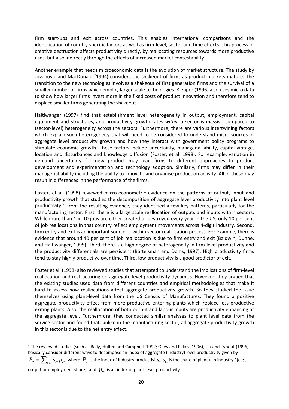firm start-ups and exit across countries. This enables international comparisons and the identification of country-specific factors as well as firm-level, sector and time effects. This process of creative destruction affects productivity directly, by reallocating resources towards more productive uses, but also indirectly through the effects of increased market contestability.

Another example that needs microeconomic data is the evolution of market structure. The study by Jovanovic and MacDonald (1994) considers the shakeout of firms as product markets mature. The transition to the new technologies involves a shakeout of first generation firms and the survival of a smaller number of firms which employ larger-scale technologies. Klepper (1996) also uses micro data to show how larger firms invest more in the fixed costs of product innovation and therefore tend to displace smaller firms generating the shakeout.

Haltiwanger (1997) find that establishment level heterogeneity in output, employment, capital equipment and structures, and productivity growth rates *within* a sector is massive compared to (sector-level) heterogeneity across the sectors. Furthermore, there are various intertwining factors which explain such heterogeneity that will need to be considered to understand micro sources of aggregate level productivity growth and how they interact with government policy programs to stimulate economic growth. These factors include uncertainty, managerial ability, capital vintage, location and disturbances and knowledge diffusion (Foster, et al. 1998). For example, variation in demand uncertainty for new product may lead firms to different approaches to product development and experimentation and technology adoption. Similarly, firms may differ in their managerial ability including the ability to innovate and organise production activity. All of these may result in differences in the performance of the firms.

Foster, et al. (1998) reviewed micro-econometric evidence on the patterns of output, input and productivity growth that studies the decomposition of aggregate level productivity into plant level productivity.<sup>[7](#page-20-0)</sup> From the resulting evidence, they identified a few key patterns, particularly for the manufacturing sector. First, there is a large scale reallocation of outputs and inputs within sectors. While more than 1 in 10 jobs are either created or destroyed every year in the US, only 10 per cent of job reallocations in that country reflect employment movements across 4-digit industry. Second, firm entry and exit is an important source of within sector reallocation process. For example, there is evidence that around 40 per cent of job reallocation is due to firm entry and exit (Baldwin, Dunne, and Haltiwanger, 1995). Third, there is a high degree of heterogeneity in firm-level productivity and the productivity differentials are persistent (Bartelsman and Doms, 1997). High productivity firms tend to stay highly productive over time. Third, low productivity is a good predictor of exit.

Foster et al. (1998) also reviewed studies that attempted to understand the implications of firm-level reallocation and restructuring on aggregate level productivity dynamics. However, they argued that the existing studies used data from different countries and empirical methodologies that make it hard to assess how reallocations affect aggregate productivity growth. So they studied the issue themselves using plant-level data from the US Census of Manufactures. They found a positive aggregate productivity effect from more productive entering plants which replace less productive exiting plants. Also, the reallocation of both output and labour inputs are productivity enhancing at the aggregate level. Furthermore, they conducted similar analyses to plant level data from the service sector and found that, unlike in the manufacturing sector, all aggregate productivity growth in this sector is due to the net entry effect.

<span id="page-20-0"></span> $^7$  The reviewed studies (such as Baily, Hulten and Campbell, 1992; Olley and Pakes (1996), Liu and Tybout (1996) basically consider different ways to decompose an index of aggregate (industry) level productivity given by  $P_{it} = \sum_{e \in I} s_{et} p_{et}$  where  $P_{it}$  is the index of industry productivity,  $s_{et}$  is the share of plant *e* in industry *i* (e.g.,

output or employment share), and  $p_{et}$  is an index of plant-level productivity.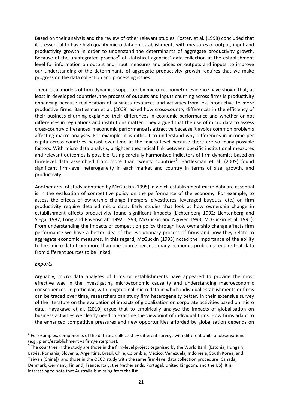Based on their analysis and the review of other relevant studies, Foster, et al. (1998) concluded that it is essential to have high quality micro data on establishments with measures of output, input and productivity growth in order to understand the determinants of aggregate productivity growth. Because of the unintegrated practice<sup>[8](#page-21-1)</sup> of statistical agencies' data collection at the establishment level for information on output and input measures and prices on outputs and inputs, to improve our understanding of the determinants of aggregate productivity growth requires that we make progress on the data collection and processing issues.

Theoretical models of firm dynamics supported by micro-econometric evidence have shown that, at least in developed countries, the process of outputs and inputs churning across firms is productivity enhancing because reallocation of business resources and activities from less productive to more productive firms. Bartlesman et al. (2009) asked how cross-country differences in the efficiency of their business churning explained their differences in economic performance and whether or not differences in regulations and institutions matter. They argued that the use of micro data to assess cross-country differences in economic performance is attractive because it avoids common problems affecting macro analyses. For example, it is difficult to understand why differences in income per capita across countries persist over time at the macro level because there are so many possible factors. With micro data analysis, a tighter theoretical link between specific institutional measures and relevant outcomes is possible. Using carefully harmonised indicators of firm dynamics based on firm-level data assembled from more than twenty countries<sup>[9](#page-21-2)</sup>, Bartlesman et al. (2009) found significant firm-level heterogeneity in each market and country in terms of size, growth, and productivity.

Another area of study identified by McGuckin (1995) in which establishment micro data are essential is in the evaluation of competitive policy on the performance of the economy. For example, to assess the effects of ownership change (mergers, divestitures, leveraged buyouts, etc.) on firm productivity require detailed micro data. Early studies that look at how ownership change in establishment affects productivity found significant impacts (Lichtenberg 1992; Lichtenberg and Siegal 1987; Long and Ravenscraft 1992, 1993; McGuckin and Nguyen 1993; McGuckin et al. 1991). From understanding the impacts of competition policy through how ownership change affects firm performance we have a better idea of the evolutionary process of firms and how they relate to aggregate economic measures. In this regard, McGuckin (1995) noted the importance of the ability to link micro data from more than one source because many economic problems require that data from different sources to be linked.

# <span id="page-21-0"></span>*Exports*

Arguably, micro data analyses of firms or establishments have appeared to provide the most effective way in the investigating microeconomic causality and understanding macroeconomic consequences. In particular, with longitudinal micro data in which individual establishments or firms can be traced over time, researchers can study firm heterogeneity better. In their extensive survey of the literature on the evaluation of impacts of globalization on corporate activities based on micro data, Hayakawa et al. (2010) argue that to empirically analyse the impacts of globalisation on business activities we clearly need to examine the viewpoint of individual firms. How firms adapt to the enhanced competitive pressures and new opportunities afforded by globalisation depends on

<span id="page-21-1"></span> $8$  For examples, components of the data are collected by different surveys with different units of observations (e.g., plant/establishment vs firm/enterprise).

<span id="page-21-2"></span><sup>9</sup> The countries in the study are those in the firm-level project organised by the World Bank (Estonia, Hungary, Latvia, Romania, Slovenia, Argentina, Brazil, Chile, Colombia, Mexico, Venezuela, Indonesia, South Korea, and Taiwan [China]) and those in the OECD study with the same firm-level data collection procedure (Canada, Denmark, Germany, Finland, France, Italy, the Netherlands, Portugal, United Kingdom, and the US). It is interesting to note that Australia is missing from the list.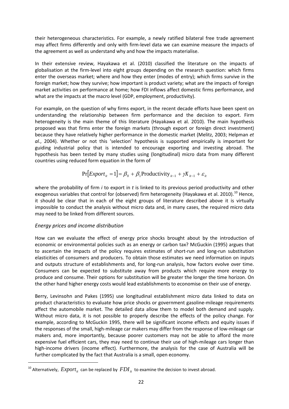their heterogeneous characteristics. For example, a newly ratified bilateral free trade agreement may affect firms differently and only with firm-level data we can examine measure the impacts of the agreement as well as understand why and how the impacts materialise.

In their extensive review, Hayakawa et al. (2010) classified the literature on the impacts of globalisation at the firm-level into eight groups depending on the research question: which firms enter the overseas market; where and how they enter (modes of entry); which firms survive in the foreign market; how they survive; how important is product variety; what are the impacts of foreign market activities on performance at home; how FDI inflows affect domestic firms performance, and what are the impacts at the macro level (GDP, employment, productivity).

For example, on the question of why firms export, in the recent decade efforts have been spent on understanding the relationship between firm performance and the decision to export. Firm heterogeneity is the main theme of this literature (Hayakawa et al. 2010). The main hypothesis proposed was that firms enter the foreign markets (through export or foreign direct investment) because they have relatively higher performance in the domestic market (Melitz, 2003; Helpman *et al.*, 2004). Whether or not this 'selection' hypothesis is supported empirically is important for guiding industrial policy that is intended to encourage exporting and investing abroad. The hypothesis has been tested by many studies using (longitudinal) micro data from many different countries using reduced form equation in the form of

$$
Pr[Export_{it} = 1] = \beta_0 + \beta_1 Productivity_{it-1} + \gamma X_{it-1} + \varepsilon_{it}
$$

where the probability of firm *i* to export in *t* is linked to its previous period productivity and other exogenous variables that control for (observed) firm heterogeneity (Hayakawa et al. 20[10](#page-22-1)).<sup>10</sup> Hence, it should be clear that in each of the eight groups of literature described above it is virtually impossible to conduct the analysis without micro data and, in many cases, the required micro data may need to be linked from different sources.

# <span id="page-22-0"></span>*Energy prices and income distribution*

How can we evaluate the effect of energy price shocks brought about by the introduction of economic or environmental policies such as an energy or carbon tax? McGuckin (1995) argues that to ascertain the impacts of the policy requires estimates of short-run and long-run substitution elasticities of consumers and producers. To obtain those estimates we need information on inputs and outputs structure of establishments and, for long-run analysis, how factors evolve over time. Consumers can be expected to substitute away from products which require more energy to produce and consume. Their options for substitution will be greater the longer the time horizon. On the other hand higher energy costs would lead establishments to economise on their use of energy.

Berry, Levinsohn and Pakes (1995) use longitudinal establishment micro data linked to data on product characteristics to evaluate how price shocks or government gasoline-mileage requirements affect the automobile market. The detailed data allow them to model both demand and supply. Without micro data, it is not possible to properly describe the effects of the policy change. For example, according to McGuckin 1995, there will be significant income effects and equity issues if the responses of the small, high-mileage car makers may differ from the response of low-mileage car makers and, more importantly, because poorer customers may not be able to afford the more expensive fuel efficient cars, they may need to continue their use of high-mileage cars longer than high-income drivers (income effect). Furthermore, the analysis for the case of Australia will be further complicated by the fact that Australia is a small, open economy.

<span id="page-22-1"></span><sup>&</sup>lt;sup>10</sup> Alternatively,  $\emph{Export}_{it}$  can be replaced by  $\emph{FDI}_{it}$  to examine the decision to invest abroad.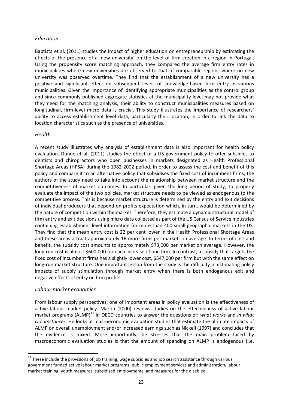# <span id="page-23-0"></span>*Education*

Baptista et al. (2011) studies the impact of higher education on entrepreneurship by estimating the effects of the presence of a 'new university' on the level of firm creation in a region in Portugal. Using the propensity score matching approach, they compared the average firm entry rates in municipalities where new universities are observed to that of comparable regions where no new university was observed overtime. They find that the establishment of a new university has a positive and significant effect on subsequent levels of knowledge-based firm entry in various municipalities. Given the importance of identifying appropriate municipalities as the control group and since commonly published aggregate statistics at the municipality level may not provide what they need for the matching analysis, their ability to construct municipalities measures based on longitudinal, firm-level micro data is crucial. This study illustrates the importance of researchers' ability to access establishment level data, particularly their location, in order to link the data to location characteristics such as the presence of universities.

### <span id="page-23-1"></span>*Health*

A recent study illustrates why analysis of establishment data is also important for health policy evaluation. Dunne et al. (2011) studies the effect of a US government policy to offer subsidies to dentists and chiropractors who open businesses in markets designated as Health Professional Shortage Areas (HPSA) during the 1982-2002 period. In order to assess the cost and benefit of this policy and compare it to an alternative policy that subsidises the fixed cost of incumbent firms, the authors of the study need to take into account the relationship between market structure and the competitiveness of market outcomes. In particular, given the long period of study, to properly evaluate the impact of the two policies, market structure needs to be viewed as endogenous to the competitive process. This is because market structure is determined by the entry and exit decisions of individual producers that depend on profits expectation which, in turn, would be determined by the nature of competition within the market. Therefore, they estimate a dynamic structural model of firm entry and exit decisions using micro data collected as part of the US Census of Service Industries containing establishment level information for more than 400 small geographic markets in the US. They find that the mean entry cost is 22 per cent lower in the Health Professional Shortage Areas and these areas attract approximately 16 more firms per market, on average. In terms of cost and benefit, the subsidy cost amounts to approximately \$73,000 per market on average. However, the long-run cost is almost \$600,000 for each increase of one firm. In contrast, a subsidy that targets the fixed cost of incumbent firms has a slightly lower cost, \$547,000 per firm but with the same effect on long-run market structure. One important lesson from the study is the difficulty in estimating policy impacts of supply stimulation through market entry when there is both endogenous exit and negative effects of entry on firm profits.

# <span id="page-23-2"></span>*Labour market economics*

From labour supply perspectives, one of important areas in policy evaluation is the effectiveness of active labour market policy. Martin (2000) reviews studies on the effectiveness of active labour market programs (ALMP)<sup>[11](#page-23-3)</sup> in OECD countries to answer the questions of: *what works* and *in what circumstances*. He looks at macroeconomic evaluation studies that estimate the ultimate impacts of ALMP on overall unemployment and/or increased earnings such as Nickell (1997) and concludes that the evidence is mixed. More importantly, he stresses that the main problem faced by macroeconomic evaluation studies is that the amount of spending on ALMP is endogenous (i.e.

<span id="page-23-3"></span> $11$  These include the provisions of job training, wage subsidies and job search assistance through various government funded active labour market programs: public employment services and administration, labour market training, youth measures, subsidised employments, and measures for the disabled.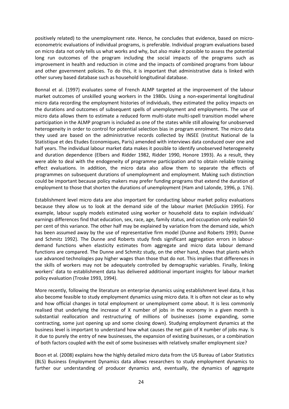positively related) to the unemployment rate. Hence, he concludes that evidence, based on microeconometric evaluations of individual programs, is preferable. Individual program evaluations based on micro data not only tells us what works and why, but also make it possible to assess the potential long run outcomes of the program including the social impacts of the programs such as improvement in health and reduction in crime and the impacts of combined programs from labour and other government policies. To do this, it is important that administrative data is linked with other survey based database such as household longitudinal database.

Bonnal et al. (1997) evaluates some of French ALMP targeted at the improvement of the labour market outcomes of unskilled young workers in the 1980s. Using a non-experimental longitudinal micro data recording the employment histories of individuals, they estimated the policy impacts on the durations and outcomes of subsequent spells of unemployment and employments. The use of micro data allows them to estimate a reduced form multi-state multi-spell transition model where participation in the ALMP program is included as one of the states while still allowing for unobserved heterogeneity in order to control for potential selection bias in program enrolment. The micro data they used are based on the administrative records collected by INSEE (Institut National de la Statistique et des Etudes Economiques, Paris) amended with interviews data conduced over one and half years. The individual labour market data makes it possible to identify unobserved heterogeneity and duration dependence (Elbers and Ridder 1982, Ridder 1990, Honore 1993). As a result, they were able to deal with the endogeneity of programme participation and to obtain reliable training effect evaluations. In addition, the micro data also allow them to separate the effects of programmes on subsequent durations of unemployment and employment. Making such distinction could be important because policy makers may prefer funding programs that extend the duration of employment to those that shorten the durations of unemployment (Ham and Lalonde, 1996, p. 176).

Establishment level micro data are also important for conducting labour market policy evaluations because they allow us to look at the demand side of the labour market (McGuckin 1995). For example, labour supply models estimated using worker or household data to explain individuals' earnings differences find that education, sex, race, age, family status, and occupation only explain 50 per cent of this variance. The other half may be explained by variation from the demand side, which has been assumed away by the use of representative firm model (Dunne and Roberts 1993; Dunne and Schmitz 1992). The Dunne and Roberts study finds significant aggregation errors in labourdemand functions when elasticity estimates from aggregate and micro data labour demand functions are compared. The Dunne and Schmitz study, on the other hand, shows that plants which use advanced technologies pay higher wages than those that do not. This implies that differences in the skills of workers may not be adequately controlled by demographic variables. Finally, linking workers' data to establishment data has delivered additional important insights for labour market policy evaluation (Troske 1993, 1994).

More recently, following the literature on enterprise dynamics using establishment level data, it has also become feasible to study employment dynamics using micro data. It is often not clear as to why and how official changes in total employment or unemployment come about. It is less commonly realised that underlying the increase of X number of jobs in the economy in a given month is substantial reallocation and restructuring of millions of businesses (some expanding, some contracting, some just opening up and some closing down). Studying employment dynamics at the business level is important to understand how what causes the net gain of X number of jobs may. Is it due to purely the entry of new businesses, the expansion of existing businesses, or a combination of both factors coupled with the exit of some businesses with relatively smaller employment size?

Boon et al. (2008) explains how the highly detailed micro data from the US Bureau of Labor Statistics (BLS) Business Employment Dynamics data allows researchers to study employment dynamics to further our understanding of producer dynamics and, eventually, the dynamics of aggregate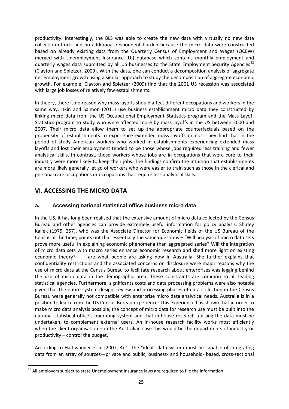productivity. Interestingly, the BLS was able to create the new data with virtually no new data collection efforts and no additional respondent burden because the micro data were constructed based on already existing data from the Quarterly Census of Employment and Wages (QCEW) merged with Unemployment Insurance (UI) database which contains monthly employment and quarterly wages data submitted by all US businesses to the State Employment Security Agencies<sup>[12](#page-25-2)</sup> (Clayton and Spletzer, 2009). With the data, one can conduct a decomposition analysis of aggregate net employment growth using a similar approach to study the decomposition of aggregate economic growth. For example, Clayton and Spletzer (2009) find that the 2001 US recession was associated with large job losses of relatively few establishments.

In theory, there is no reason why mass layoffs should affect different occupations and workers in the same way. Itkin and Salmon (2011) use business establishment micro data they constructed by linking micro data from the US Occupational Employment Statistics program and the Mass Layoff Statistics program to study who were affected more by mass layoffs in the US between 2000 and 2007. Their micro data allow them to set up the appropriate counterfactuals based on the propensity of establishments to experience extended mass layoffs or not. They find that in the period of study American workers who worked in establishments experiencing extended mass layoffs and lost their employment tended to be those whose jobs required less training and fewer analytical skills. In contrast, those workers whose jobs are in occupations that were core to their industry were more likely to keep their jobs. The findings confirm the intuition that establishments are more likely generally let go of workers who were easier to train such as those in the clerical and personal care occupations or occupations that require less analytical skills.

# <span id="page-25-1"></span><span id="page-25-0"></span>**VI. ACCESSING THE MICRO DATA**

# **a. Accessing national statistical office business micro data**

In the US, it has long been realised that the extensive amount of micro data collected by the Census Bureau and other agencies can provide extremely useful information for policy analysis. Shirley Kallek (1975, 257), who was the Associate Director for Economic fields of the US Bureau of the Census at the time, points out that essentially the same questions – "Will analysis of micro data sets prove more useful in explaining economic phenomena than aggregated series? Will the integration of micro data sets with macro series enhance economic research and shed more light on existing economic theory?" – are what people are asking now in Australia. She further explains that confidentiality restrictions and the associated concerns on disclosure were major reasons why the use of micro data at the Census Bureau to facilitate research about enterprises was lagging behind the use of micro data in the demographic area. These constraints are common to all leading statistical agencies. Furthermore, significants costs and data processing problems were also notable given that the entire system design, review and processing phases of data collection in the Census Bureau were generally not compatible with enterprise micro data analytical needs. Australia is in a position to learn from the US Census Bureau experience. This experience has shown that in order to make micro data analysis possible, the concept of micro data for research use must be built into the national statistical office's operating system and that in-house research utilising the data must be undertaken, to complement external users. An in-house research facility works most efficiently when the client organisation – in the Australian case this would be the departments of industry or productivity – control the budget.

According to Haltiwanger et al (2007, 3) '...The "ideal" data system must be capable of integrating data from an array of sources—private and public, business- and household- based, cross-sectional

<span id="page-25-2"></span> $12$  All employers subject to state Unemployment Insurance laws are required to file the information.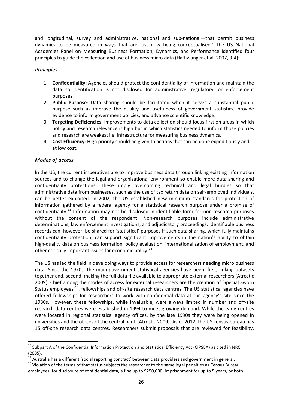and longitudinal, survey and administrative, national and sub-national—that permit business dynamics to be measured in ways that are just now being conceptualised.' The US National Academies Panel on Measuring Business Formation, Dynamics, and Performance identified four principles to guide the collection and use of business micro data (Haltiwanger et al, 2007, 3-4):

# <span id="page-26-0"></span>*Principles*

- 1. **Confidentiality:** Agencies should protect the confidentiality of information and maintain the data so identification is not disclosed for administrative, regulatory, or enforcement purposes.
- 2. **Public Purpose**: Data sharing should be facilitated when it serves a substantial public purpose such as improve the quality and usefulness of government statistics; provide evidence to inform government policies; and advance scientific knowledge.
- 3. **Targeting Deficiencies**: Improvements to data collection should focus first on areas in which policy and research relevance is high but in which statistics needed to inform those policies and research are weakest i.e. infrastructure for measuring business dynamics.
- 4. **Cost Efficiency**: High priority should be given to actions that can be done expeditiously and at low cost.

# <span id="page-26-1"></span>*Modes of access*

In the US, the current imperatives are to improve business data through linking existing information sources and to change the legal and organizational environment so enable more data sharing and confidentiality protections. These imply overcoming technical and legal hurdles so that administrative data from businesses, such as the use of tax return data on self-employed individuals, can be better exploited. In 2002, the US established new minimum standards for protection of information gathered by a federal agency for a statistical research purpose under a promise of confidentiality.<sup>[13](#page-26-2)</sup> Information may not be disclosed in identifiable form for non-research purposes without the consent of the respondent. Non-research purposes include administrative determinations, law enforcement investigations, and adjudicatory proceedings. Identifiable business records can, however, be shared for 'statistical' purposes if such data sharing, which fully maintains confidentiality protection, can support significant improvements in the nation's ability to obtain high-quality data on business formation, policy evaluation, internationalization of employment, and other critically important issues for economic policy.<sup>[14](#page-26-3)</sup>

The US has led the field in developing ways to provide access for researchers needing micro business data. Since the 1970s, the main government statistical agencies have been, first, linking datasets together and, second, making the full data file available to appropriate external researchers (Atrostic 2009). Chief among the modes of access for external researchers are the creation of 'Special Sworn Status employees<sup>'[15](#page-26-4)</sup>, fellowships and off-site research data centres. The US statistical agencies have offered fellowships for researchers to work with confidential data at the agency's site since the 1980s. However, these fellowships, while invaluable, were always limited in number and off-site research data centres were established in 1994 to meet growing demand. While the early centres were located in regional statistical agency offices, by the late 1990s they were being opened in universities and the offices of the central bank (Atrostic 2009). As of 2012, the US census bureau has 15 off-site research data centres. Researchers submit proposals that are reviewed for feasibility,

<span id="page-26-2"></span> $13$  Subpart A of the Confidential Information Protection and Statistical Efficiency Act (CIPSEA) as cited in NRC (2005).

<span id="page-26-3"></span><sup>&</sup>lt;sup>14</sup> Australia has a different 'social reporting contract' between data providers and government in general.

<span id="page-26-4"></span> $15$  Violation of the terms of that status subjects the researcher to the same legal penalties as Census Bureau employees: for disclosure of confidential data, a fine up to \$250,000, imprisonment for up to 5 years, or both.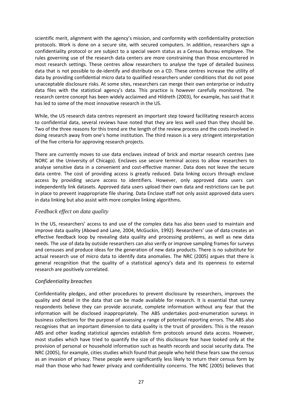scientific merit, alignment with the agency's mission, and conformity with confidentiality protection protocols. Work is done on a secure site, with secured computers. In addition, researchers sign a confidentiality protocol or are subject to a special sworn status as a Census Bureau employee. The rules governing use of the research data centers are more constraining than those encountered in most research settings. These centres allow researchers to analyse the type of detailed business data that is not possible to de-identify and distribute on a CD. These centres increase the utility of data by providing confidential micro data to qualified researchers under conditions that do not pose unacceptable disclosure risks. At some sites, researchers can merge their own enterprise or industry data files with the statistical agency's data. This practice is however carefully monitored. The research centre concept has been widely acclaimed and Hildreth (2003), for example, has said that it has led to some of the most innovative research in the US.

While, the US research data centres represent an important step toward facilitating research access to confidential data, several reviews have noted that they are less well used than they should be. Two of the three reasons for this trend are the length of the review process and the costs involved in doing research away from one's home institution. The third reason is a very stringent interpretation of the five criteria for approving research projects.

There are currently moves to use data enclaves instead of brick and mortar research centres (see NORC at the University of Chicago). Enclaves use secure terminal access to allow researchers to analyse sensitive data in a convenient and cost-effective manner. Data does not leave the secure data centre. The cost of providing access is greatly reduced. Data linking occurs through enclave access by providing secure access to identifiers. However, only approved data users can independently link datasets. Approved data users upload their own data and restrictions can be put in place to prevent inappropriate file sharing. Data Enclave staff not only assist approved data users in data linking but also assist with more complex linking algorithms.

# <span id="page-27-0"></span>*Feedback effect on data quality*

In the US, researchers' access to and use of the complex data has also been used to maintain and improve data quality (Abowd and Lane, 2004, McGuckin, 1992). Researchers' use of data creates an effective feedback loop by revealing data quality and processing problems, as well as new data needs. The use of data by outside researchers can also verify or improve sampling frames for surveys and censuses and produce ideas for the generation of new data products. There is no substitute for actual research use of micro data to identify data anomalies. The NRC (2005) argues that there is general recognition that the quality of a statistical agency's data and its openness to external research are positively correlated.

# <span id="page-27-1"></span>*Confidentiality breaches*

Confidentiality pledges, and other procedures to prevent disclosure by researchers, improves the quality and detail in the data that can be made available for research. It is essential that survey respondents believe they can provide accurate, complete information without any fear that the information will be disclosed inappropriately. The ABS undertakes post-enumeration surveys in business collections for the purpose of assessing a range of potential reporting errors. The ABS also recognises that an important dimension to data quality is the trust of providers. This is the reason ABS and other leading statistical agencies establish firm protocols around data access. However, most studies which have tried to quantify the size of this disclosure fear have looked only at the provision of personal or household information such as health records and social security data. The NRC (2005), for example, cities studies which found that people who held these fears saw the census as an invasion of privacy. These people were significantly less likely to return their census form by mail than those who had fewer privacy and confidentiality concerns. The NRC (2005) believes that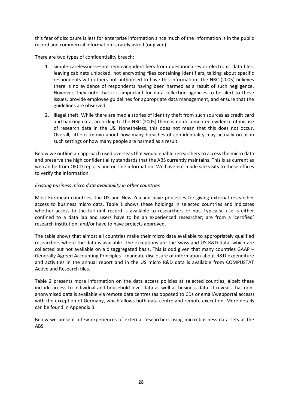this fear of disclosure is less for enterprise information since much of the information is in the public record and commercial information is rarely asked (or given).

There are two types of confidentiality breach:

- 1. simple carelessness—not removing identifiers from questionnaires or electronic data files, leaving cabinets unlocked, not encrypting files containing identifiers, talking about specific respondents with others not authorised to have this information. The NRC (2005) believes there is no evidence of respondents having been harmed as a result of such negligence. However, they note that it is important for data collection agencies to be alert to these issues, provide employee guidelines for appropriate data management, and ensure that the guidelines are observed.
- 2. illegal theft. While there are media stories of identity theft from such sources as credit card and banking data, according to the NRC (2005) there is no documented evidence of misuse of research data in the US. Nonetheless, this does not mean that this does not occur. Overall, little is known about how many breaches of confidentiality may actually occur in such settings or how many people are harmed as a result.

Below we outline an approach used overseas that would enable researchers to access the micro data and preserve the high confidentiality standards that the ABS currently maintains. This is as current as we can be from OECD reports and on-line information. We have not made site visits to these offices to verify the information.

#### *Existing business micro data availability in other countries*

Most European countries, the US and New Zealand have processes for giving external researcher access to business micro data. Table 1 shows these holdings in selected countries and indicates whether access to the full unit record is available to researchers or not. Typically, use is either confined to a data lab and users have to be an experienced researcher; are from a 'certified' research institution; and/or have to have projects approved.

The table shows that almost all countries make their micro data available to appropriately qualified researchers where the data is available. The exceptions are the Swiss and US R&D data, which are collected but not available on a disaggregated basis. This is odd given that many countries GAAP – Generally Agreed Accounting Principles - mandate disclosure of information about R&D expenditure and activities in the annual report and in the US micro R&D data is available from COMPUSTAT Active and Research files.

Table 2 presents more information on the data access policies at selected counties, albeit these include access to individual and household level data as well as business data. It reveals that nonanonymised data is available via remote data centres (as opposed to CDs or email/webportal access) with the exception of Germany, which allows both data centre and remote execution. More details can be found in Appendix B.

Below we present a few experiences of external researchers using micro business data sets at the ABS.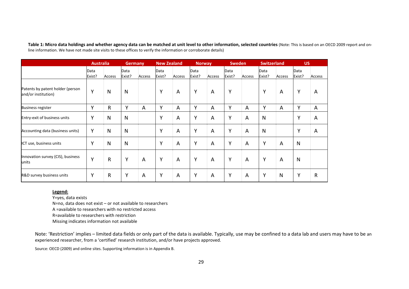**Table 1: Micro data holdings and whether agency data can be matched at unit level to other information, selected countries** (Note: This is based on an OECD 2009 report and online information. We have not made site visits to these offices to verify the information or corroborate details)

|                                                         | <b>Australia</b> |              | <b>Germany</b> |        | <b>New Zealand</b> |        | <b>Norway</b>  |                | <b>Sweden</b>  |        | <b>Switzerland</b> |              | <b>US</b>      |                |
|---------------------------------------------------------|------------------|--------------|----------------|--------|--------------------|--------|----------------|----------------|----------------|--------|--------------------|--------------|----------------|----------------|
|                                                         | Data<br>Exist?   | Access       | Data<br>Exist? | Access | Data<br>Exist?     | Access | Data<br>Exist? | Access         | Data<br>Exist? | Access | Data<br>Exist?     | Access       | Data<br>Exist? | Access         |
| Patents by patent holder (person<br>and/or institution) | Υ                | N            | N              |        | Y                  | A      | Y              | $\overline{A}$ | Y              |        | Y                  | A            | Y              | A              |
| <b>Business register</b>                                | Y                | $\mathsf{R}$ | Υ              | Α      | Y                  | A      | Y              | A              | Υ              | A      | Y                  | A            | Y              | A              |
| Entry-exit of business units                            | Υ                | N            | N              |        | Υ                  | A      | Y              | A              | Y              | A      | $\mathsf{N}$       |              | Y              | A              |
| Accounting data (business units)                        | Y                | $\mathsf{N}$ | N              |        | Υ                  | A      | Y              | A              | Y              | A      | $\mathsf{N}$       |              | Y              | $\overline{A}$ |
| ICT use, business units                                 | Y                | $\mathsf{N}$ | N              |        | Y                  | A      | Y              | A              | Υ              | A      | Y                  | A            | N              |                |
| Innovation survey (CIS), business<br>units              | Y                | $\mathsf R$  | Y              | A      | Y                  | A      | Y              | A              | Υ              | A      | Y                  | A            | N              |                |
| R&D survey business units                               | Y                | $\mathsf{R}$ | Y              | A      | Y                  | A      | Y              | A              | Y              | A      | Υ                  | $\mathsf{N}$ | Y              | $\mathsf{R}$   |

#### **Legend:**

Y=yes, data exists

N=no, data does not exist – or not available to researchers

A =available to researchers with no restricted access

R=available to researchers with restriction

Missing indicates information not available

Note: 'Restriction' implies – limited data fields or only part of the data is available. Typically, use may be confined to a data lab and users may have to be an experienced researcher, from a 'certified' research institution, and/or have projects approved.

Source: OECD (2009) and online sites. Supporting information is in Appendix B.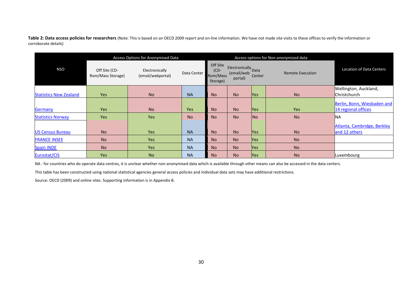Table 2: Data access policies for researchers (Note: This is based on an OECD 2009 report and on-line information. We have not made site visits to these offices to verify the information or corroborate details)

|                               |                                    | Access Options for Anonymised Data  |             |                                             | Access options for Non-anonymised data       |                |                         |                                 |
|-------------------------------|------------------------------------|-------------------------------------|-------------|---------------------------------------------|----------------------------------------------|----------------|-------------------------|---------------------------------|
| <b>NSO</b>                    | Off Site (CD-<br>Rom/Mass Storage) | Electronically<br>(email/webportal) | Data Center | Off Site<br>$(CD -$<br>Rom/Mass<br>Storage) | Electronically Data<br>(email/web<br>portal) | Center         | <b>Remote Execution</b> | <b>Location of Data Centers</b> |
|                               |                                    |                                     |             |                                             |                                              |                |                         | Wellington, Auckland,           |
| <b>Statistics New Zealand</b> | Yes                                | <b>No</b>                           | <b>NA</b>   | <b>No</b>                                   | <b>No</b>                                    | <b>Yes</b>     | <b>No</b>               | Christchurch                    |
|                               |                                    |                                     |             |                                             |                                              |                |                         | Berlin, Bonn, Wiesbaden and     |
| Germany                       | <b>Yes</b>                         | <b>No</b>                           | <b>Yes</b>  | <b>No</b>                                   | N <sub>o</sub>                               | <b>Yes</b>     | Yes                     | 14 regional offices             |
| <b>Statistics Norway</b>      | Yes                                | Yes                                 | <b>No</b>   | <b>No</b>                                   | N <sub>o</sub>                               | N <sub>o</sub> | <b>No</b>               | <b>NA</b>                       |
|                               |                                    |                                     |             |                                             |                                              |                |                         | Atlanta, Cambridge, Berkley     |
| <b>US Census Bureau</b>       | <b>No</b>                          | <b>Yes</b>                          | <b>NA</b>   | <b>No</b>                                   | N <sub>o</sub>                               | <b>Yes</b>     | <b>No</b>               | and 12 others                   |
| <b>FRANCE INSEE</b>           | <b>No</b>                          | Yes                                 | <b>NA</b>   | <b>No</b>                                   | No.                                          | <b>Yes</b>     | <b>No</b>               |                                 |
| <b>Spain INDE</b>             | <b>No</b>                          | Yes                                 | <b>NA</b>   | <b>No</b>                                   | <b>No</b>                                    | <b>Yes</b>     | <b>No</b>               |                                 |
| Eurostat/CIS                  | Yes                                | <b>No</b>                           | <b>NA</b>   | <b>No</b>                                   | No.                                          | <b>Yes</b>     | <b>No</b>               | Luxembourg                      |

NA - for countries who do operate data centres, it is unclear whether non-anonymised data which is available through other means can also be accessed in the data centers.

This table has been constructed using national statistical agencies general access policies and individual data sets may have additional restrictions.

Source: OECD (2009) and online sites. Supporting information is in Appendix B.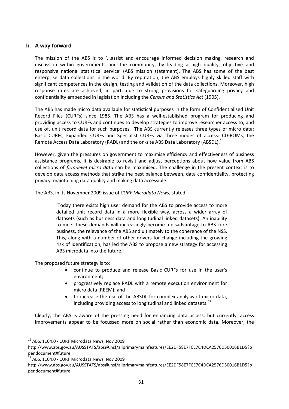# <span id="page-31-0"></span>**b. A way forward**

The mission of the ABS is to '...assist and encourage informed decision making, research and discussion within governments and the community, by leading a high quality, objective and responsive national statistical service' (ABS mission statement). The ABS has some of the best enterprise data collections in the world. By reputation, the ABS employs highly skilled staff with significant competences in the design, testing and validation of the data collections. Moreover, high response rates are achieved, in part, due to strong provisions for safeguarding privacy and confidentiality embedded in legislation including the *Census and Statistics Act* (1905).

The ABS has made micro data available for statistical purposes in the form of Confidentialised Unit Record Files (CURFs) since 1985. The ABS has a well-established program for producing and providing access to CURFs and continues to develop strategies to improve researcher access to, and use of, unit record data for such purposes. The ABS currently releases three types of micro data: Basic CURFs, Expanded CURFs and Specialist CURFs via three modes of access: CD-ROMs, the Remote Access Data Laboratory (RADL) and the on-site ABS Data Laboratory (ABSDL).<sup>[16](#page-31-1)</sup>

However, given the pressures on government to maximise efficiency and effectiveness of business assistance programs, it is desirable to revisit and adjust perceptions about how value from ABS collections of *firm-level micro data* can be maximised. The challenge in the present context is to develop data access methods that strike the best balance between, data confidentiality, protecting privacy, maintaining data quality and making data accessible.

The ABS, in its November 2009 issue of *CURF Microdata News*, stated:

'Today there exists high user demand for the ABS to provide access to more detailed unit record data in a more flexible way, across a wider array of datasets (such as business data and longitudinal linked datasets). An inability to meet these demands will increasingly become a disadvantage to ABS core business, the relevance of the ABS and ultimately to the coherence of the NSS. This, along with a number of other drivers for change including the growing risk of identification, has led the ABS to propose a new strategy for accessing ABS microdata into the future.'

The proposed future strategy is to:

- continue to produce and release Basic CURFs for use in the user's environment;
- progressively replace RADL with a remote execution environment for micro data (REEM); and
- to increase the use of the ABSDL for complex analysis of micro data, including providing access to longitudinal and linked datasets. $17$

Clearly, the ABS is aware of the pressing need for enhancing data access, but currently, access improvements appear to be focussed more on social rather than economic data. Moreover, the

<span id="page-31-1"></span><sup>&</sup>lt;sup>16</sup> ABS. 1104.0 - CURF Microdata News, Nov 2009

http://www.abs.gov.au/AUSSTATS/abs@.nsf/allprimarymainfeatures/EE2DF58E7FCE7C4DCA2576D50016B1D5?o pendocument#future.

<span id="page-31-2"></span> $17$  ABS. 1104.0 - CURF Microdata News, Nov 2009

http://www.abs.gov.au/AUSSTATS/abs@.nsf/allprimarymainfeatures/EE2DF58E7FCE7C4DCA2576D50016B1D5?o pendocument#future.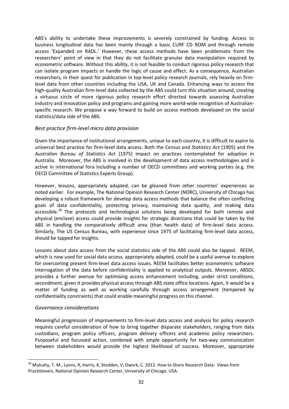ABS's ability to undertake these improvements is severely constrained by funding. Access to business longitudinal data has been mainly through a basic CURF CD ROM and through remote access 'Expanded on RADL.' However, these access methods have been problematic from the researchers' point of view in that they do not facilitate granular data manipulation required by econometric software. Without this ability, it is not feasible to conduct rigorous policy research that can isolate program impacts or handle the logic of cause and effect. As a consequence, Australian researchers, in their quest for publication in top-level policy research journals, rely heavily on firmlevel data from other countries including the USA, UK and Canada. Enhancing ways to access the high-quality Australian firm-level data collected by the ABS could turn this situation around, creating a virtuous circle of more rigorous policy research effort directed towards assessing Australian industry and innovation policy and programs and gaining more world-wide recognition of Australianspecific research. We propose a way forward to build on access methods developed on the social statistics/data side of the ABS.

# <span id="page-32-0"></span>*Best practice firm-level micro data provision*

Given the importance of institutional arrangements, unique to each country, it is difficult to aspire to universal best practice for firm-level data access. Both the *Census and Statistics Act* (1905) and the *Australian Bureau of Statistics Act* (1975) impact on practices contemplated for adoption in Australia. Moreover, the ABS is involved in the development of data access methodologies and is active in international fora including a number of OECD committees and working parties (e.g. the OECD Committee of Statistics Experts Group).

However, lessons, appropriately adapted, can be gleaned from other countries' experiences as noted earlier. For example, The National Opinion Research Center (NORC), University of Chicago has developing a robust framework for develop data access methods that balance the often conflicting goals of data confidentiality, protecting privacy, maintaining data quality, and making data accessible.<sup>[18](#page-32-2)</sup> The protocols and technological solutions being developed for both remote and physical (enclave) access could provide insights for strategic directions that could be taken by the ABS in handling the comparatively difficult area (than health data) of firm-level data access. Similarly, The US Census Bureau, with experience since 1975 of facilitating firm-level data access, should be tapped for insights.

Lessons about data access from the social statistics side of the ABS could also be tapped. REEM, which is now used for social data access, appropriately adapted, could be a useful avenue to explore for overcoming present firm-level data access issues. REEM facilitates better econometric software interrogation of the data before confidentiality is applied to analytical outputs. Moreover, ABSDL provides a further avenue for optimising access enhancement including, under strict conditions, secondment, given it provides physical access through ABS state office locations. Again, it would be a matter of funding as well as working carefully through access arrangement (tempered by confidentiality constraints) that could enable meaningful progress on this channel.

# <span id="page-32-1"></span>*Governance considerations*

Meaningful progression of improvements to firm-level data access and analysis for policy research requires careful consideration of how to bring together disparate stakeholders, ranging from data custodians, program policy officers, program delivery officers and academic policy researchers. Purposeful and focussed action, combined with ample opportunity for two-way communication between stakeholders would provide the highest likelihood of success. Moreover, appropriate

<span id="page-32-2"></span><sup>&</sup>lt;sup>18</sup> Mulcahy, T. M., Lyons, R, Harris, K, Stodden, V, Dwork, C. 2012. How to Share Research Data: Views from Practitioners. National Opinion Research Center, University of Chicago. USA.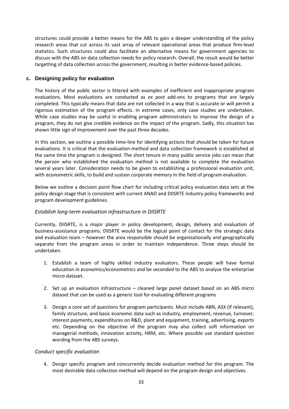structures could provide a better means for the ABS to gain a deeper understanding of the policy research areas that cut across its vast array of relevant operational areas that produce firm-level statistics. Such structures could also facilitate an alternative means for government agencies to discuss with the ABS on data collection needs for policy research. Overall, the result would be better targetting of data collection across the government, resulting in better evidence-based policies.

# <span id="page-33-0"></span>**c. Designing policy for evaluation**

The history of the public sector is littered with examples of inefficient and inappropriate program evaluations. Most evaluations are conducted as *ex post* add-ons to programs that are largely completed. This typically means that data are not collected in a way that is accurate or will permit a rigorous estimation of the program effects. In extreme cases, only case studies are undertaken. While case studies may be useful in enabling program administrators to improve the design of a program, they do not give credible evidence on the impact of the program. Sadly, this situation has shown little sign of improvement over the past three decades.

In this section, we outline a possible time-line for identifying actions that should be taken for future evaluations. It is critical that the evaluation method and data collection framework is established at the same time the program is designed. The short tenure in many public service jobs can mean that the person who established the evaluation method is not available to complete the evaluation several years later. Consideration needs to be given to establishing a professional evaluation unit, with econometric skills, to build and sustain corporate memory in the field of program evaluation.

Below we outline a decision point flow chart for including critical policy evaluation data sets at the policy design stage that is consistent with current ANAO and DIISRTE industry policy frameworks and program development guidelines.

# <span id="page-33-1"></span>*Establish long-term evaluation infrastructure in DIISRTE*

Currently, DIISRTE, is a major player in policy development, design, delivery and evaluation of business-assistance programs. DIISRTE would be the logical point of contact for the strategic data and evaluation team – however the area responsible should be organisationally and geographically separate from the program areas in order to maintain independence. Three steps should be undertaken.

- 1. Establish a team of highly skilled industry evaluators. These people will have formal education in economics/econometrics and be seconded to the ABS to analyse the enterprise micro dataset.
- 2. Set up an evaluation infrastructure cleaned large panel dataset based on an ABS micro dataset that can be used as a generic tool for evaluating different programs
- 3. Design a core set of questions for program participants. Must include ABN, ASX (if relevant), family structure, and basic economic data such as industry, employment, revenue, turnover, interest payments, expenditures on R&D, plant and equipment, training, advertising, exports etc. Depending on the objective of the program may also collect soft information on managerial methods, innovation activity, HRM, etc. Where possible use standard question wording from the ABS surveys.

# <span id="page-33-2"></span>*Conduct specific evaluation*

4. Design specific program and concurrently decide evaluation method for this program. The most desirable data collection method will depend on the program design and objectives.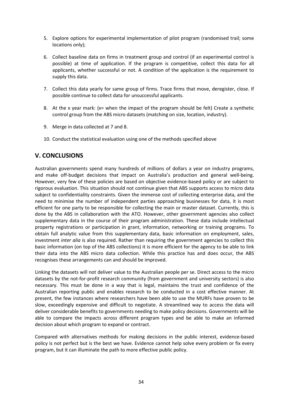- 5. Explore options for experimental implementation of pilot program (randomised trail; some locations only);
- <span id="page-34-1"></span>6. Collect baseline data on firms in treatment group and control (if an experimental control is possible) at time of application. If the program is competitive, collect this data for all applicants, whether successful or not. A condition of the application is the requirement to supply this data.
- <span id="page-34-2"></span>7. Collect this data yearly for same group of firms. Trace firms that move, deregister, close. If possible continue to collect data for unsuccessful applicants.
- 8. At the x year mark: (x= when the impact of the program should be felt) Create a synthetic control group from the ABS micro datasets (matching on size, location, industry).
- 9. Merge in data collected a[t 7](#page-34-1) and [8.](#page-34-2)
- 10. Conduct the statistical evaluation using one of the methods specified above

# <span id="page-34-0"></span>**V. CONCLUSIONS**

Australian governments spend many hundreds of millions of dollars a year on industry programs, and make off-budget decisions that impact on Australia's production and general well-being. However, very few of these policies are based on objective evidence-based policy or are subject to rigorous evaluation. This situation should not continue given that ABS supports access to micro data subject to confidentiality constraints. Given the immense cost of collecting enterprise data, and the need to minimise the number of independent parties approaching businesses for data, it is most efficient for one party to be responsible for collecting the main or master dataset. Currently, this is done by the ABS in collaboration with the ATO. However, other government agencies also collect supplementary data in the course of their program administration. These data include intellectual property registrations or participation in grant, information, networking or training programs. To obtain full analytic value from this supplementary data, basic information on employment, sales, investment *inter alia* is also required. Rather than requiring the government agencies to collect this basic information (on top of the ABS collections) it is more efficient for the agency to be able to link their data into the ABS micro data collection. While this practice has and does occur, the ABS recognises these arrangements can and should be improved.

Linking the datasets will not deliver value to the Australian people per se. Direct access to the micro datasets by the not-for-profit research community (from government and university sectors) is also necessary. This must be done in a way that is legal, maintains the trust and confidence of the Australian reporting public and enables research to be conducted in a cost effective manner. At present, the few instances where researchers have been able to use the MURFs have proven to be slow, exceedingly expensive and difficult to negotiate. A streamlined way to access the data will deliver considerable benefits to governments needing to make policy decisions. Governments will be able to compare the impacts across different program types and be able to make an informed decision about which program to expand or contract.

Compared with alternatives methods for making decisions in the public interest, evidence-based policy is not perfect but is the best we have. Evidence cannot help solve every problem or fix every program, but it can illuminate the path to more effective public policy.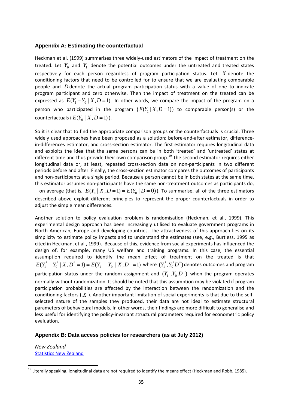#### <span id="page-35-0"></span>**Appendix A: Estimating the counterfactual**

Heckman et al. (1999) summarises three widely-used estimators of the impact of treatment on the treated. Let  $Y_0$  and  $Y_1$  denote the potential outcomes under the untreated and treated states respectively for each person regardless of program participation status. Let *X* denote the conditioning factors that need to be controlled for to ensure that we are evaluating comparable people and *D* denote the actual program participation status with a value of one to indicate program participant and zero otherwise. Then the impact of treatment on the treated can be expressed as  $E(Y_1 - Y_0 | X, D = 1)$ . In other words, we compare the impact of the program on a person who participated in the program  $(E(Y_1 | X, D=1))$  to comparable person(s) or the counterfactuals ( $E(Y_0 | X, D = 1)$ ).

So it is clear that to find the appropriate comparison groups or the counterfactuals is crucial. Three widely used approaches have been proposed as a solution: before-and-after estimator, differencein-differences estimator, and cross-section estimator. The first estimator requires longitudinal data and exploits the idea that the same persons can be in both 'treated' and 'untreated' states at different time and thus provide their own comparison group.<sup>[19](#page-35-3)</sup> The second estimator requires either longitudinal data or, at least, repeated cross-section data on non-participants in two different periods before and after. Finally, the cross-section estimator compares the outcomes of participants and non-participants at a single period. Because a person cannot be in both states at the same time, this estimator assumes non-participants have the same non-treatment outcomes as participants do,

on average (that is,  $E(Y_0 | X, D = 1) = E(Y_0 | D = 0)$ ). To summarise, all of the three estimators described above exploit different principles to represent the proper counterfactuals in order to adjust the simple mean differences.

Another solution to policy evaluation problem is randomisation (Heckman, et al., 1999). This experimental design approach has been increasingly utilised to evaluate government programs in North American, Europe and developing countries. The attractiveness of this approach lies on its simplicity to estimate policy impacts and to understand the estimates (see, e.g., Burtless, 1995 as cited in Heckman, et al., 1999). Because of this, evidence from social experiments has influenced the design of, for example, many US welfare and training programs. In this case, the essential assumption required to identify the mean effect of treatment on the treated is that  $(Y_1^* - Y_0^* | X, D^* = 1) = E(Y_1 - Y_0 | X, D = 1)$  $E(Y_1^* - Y_0^* | X, D^* = 1) = E(Y_1 - Y_0 | X, D = 1)$  where  $(Y_1^*, Y_0^* D^*)$  denotes outcomes and program participation status under the random assignment and  $(Y_1, Y_0, D)$  when the program operates normally without randomization. It should be noted that this assumption may be violated if program participation probabilities are affected by the interaction between the randomization and the conditioning factors ( *X* ). Another important limitation of social experiments is that due to the selfselected nature of the samples they produced, their data are not ideal to estimate structural parameters of behavioural models. In other words, their findings are more difficult to generalise and less useful for identifying the policy-invariant structural parameters required for econometric policy evaluation.

#### <span id="page-35-1"></span>**Appendix B: Data access policies for researchers (as at July 2012)**

<span id="page-35-2"></span>*New Zealand* [Statistics New Zealand](http://www.stats.govt.nz/)

<span id="page-35-3"></span><sup>&</sup>lt;sup>19</sup> Literally speaking, longitudinal data are not required to identify the means effect (Heckman and Robb, 1985).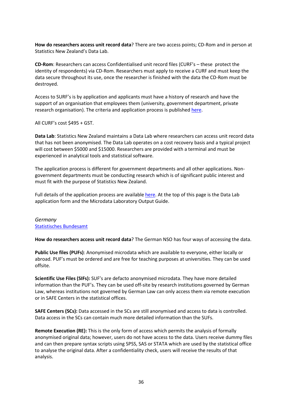**How do researchers access unit record data**? There are two access points; CD-Rom and in person at Statistics New Zealand's Data Lab.

**CD-Rom**: Researchers can access Confidentialised unit record files (CURF's – these protect the identity of respondents) via CD-Rom. Researchers must apply to receive a CURF and must keep the data secure throughout its use, once the researcher is finished with the data the CD-Rom must be destroyed.

Access to SURF's is by application and applicants must have a history of research and have the support of an organisation that employees them (university, government department, private research organisation). The criteria and application process is publishe[d here.](http://www.stats.govt.nz/tools_and_services/services/microdata-access/confidentialised-unit-record-files.aspx)

All CURF's cost \$495 + GST.

**Data Lab**: Statistics New Zealand maintains a Data Lab where researchers can access unit record data that has not been anonymised. The Data Lab operates on a cost recovery basis and a typical project will cost between \$5000 and \$15000. Researchers are provided with a terminal and must be experienced in analytical tools and statistical software.

The application process is different for government departments and all other applications. Nongovernment departments must be conducting research which is of significant public interest and must fit with the purpose of Statistics New Zealand.

Full details of the application process are available [here.](http://www.stats.govt.nz/tools_and_services/services/microdata-access/data-lab.aspx) At the top of this page is the Data Lab application form and the Microdata Laboratory Output Guide.

### <span id="page-36-0"></span>*Germany* [Statistisches Bundesamt](https://www.destatis.de/EN/Homepage.html)

**How do researchers access unit record data**? The German NSO has four ways of accessing the data.

**Public Use files (PUFs)**: Anonymised microdata which are available to everyone, either locally or abroad. PUF's must be ordered and are free for teaching purposes at universities. They can be used offsite.

**Scientific Use Files (SIFs):** SUF's are defacto anonymised microdata. They have more detailed information than the PUF's. They can be used off-site by research institutions governed by German Law, whereas institutions not governed by German Law can only access them via remote execution or in SAFE Centers in the statistical offices.

**SAFE Centers (SCs):** Data accessed in the SCs are still anonymised and access to data is controlled. Data access in the SCs can contain much more detailed information than the SUFs.

**Remote Execution (RE):** This is the only form of access which permits the analysis of formally anonymised original data; however, users do not have access to the data. Users receive dummy files and can then prepare syntax scripts using SPSS, SAS or STATA which are used by the statistical office to analyse the original data. After a confidentiality check, users will receive the results of that analysis.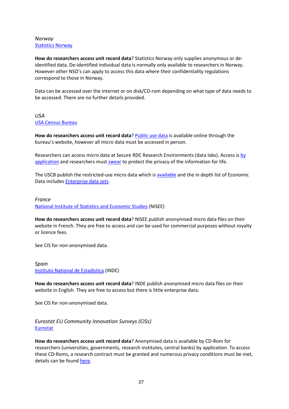# <span id="page-37-0"></span>*Norway* [Statistics Norway](http://www.ssb.no/english/mikrodata_en/)

**How do researchers access unit record data**? Statistics Norway only supplies anonymous or deidentified data. De-identified individual data is normally only available to researchers in Norway. However other NSO's can apply to access this data where their confidentiality regulations correspond to those in Norway.

Data can be accessed over the internet or on disk/CD-rom depending on what type of data needs to be accessed. There are no further details provided.

### <span id="page-37-1"></span>*USA* [USA Census Bureau](http://www.census.gov/research/data/restricted_use_microdata.php)

**How do researchers access unit record data**? [Public use data](http://www.census.gov/ces/dataproducts/economicdata.html) is available online through the bureau's website, however all micro data must be accessed in person.

Researchers can access micro data at Secure RDC Research Environments (data labs). Access i[s by](http://www.census.gov/ces/rdcresearch/howtoapply.html)  [application](http://www.census.gov/ces/rdcresearch/howtoapply.html) and researchers must [swear](http://www.census.gov/privacy/data_protection/) to protect the privacy of the information for life.

The USCB publish the restricted-use micro data which i[s available](http://www.census.gov/ces/dataproducts/) and the in depth list of Economic Data includes **Enterprise data sets**.

### <span id="page-37-2"></span>*France*

[National Institute of Statistics and Economic Studies](http://www.insee.fr/en/bases-de-donnees/fichiers-detail.asp?numpage=1&nombre=20) (NISEE)

**How do researchers access unit record data**? NISEE publish anonymised micro data files on their website in French. They are free to access and can be used for commercial purposes without royalty or licence fees.

See CIS for non-anonymised data.

<span id="page-37-3"></span>*Spain* [Instituto National de Estadistica](http://www.ine.es/en/prodyser/microdatos_en.htm) (INDE)

**How do researchers access unit record data**? INDE publish anonymised micro data files on their website in English. They are free to access but there is little enterprise data.

See CIS for non-anonymised data.

<span id="page-37-4"></span>*Eurostat EU Community Innovation Surveys (CISs)* [Eurostat](http://epp.eurostat.ec.europa.eu/portal/page/portal/microdata/cis)

**How do researchers access unit record data**? Anonymised data is available by CD-Rom for researchers (universities, governments, research institutes, central banks) by application. To access these CD-Roms, a research contract must be granted and numerous privacy conditions must be met, details can be found [here.](http://epp.eurostat.ec.europa.eu/portal/page/portal/microdata/documents/EN-CIS-MICRODATA.pdf)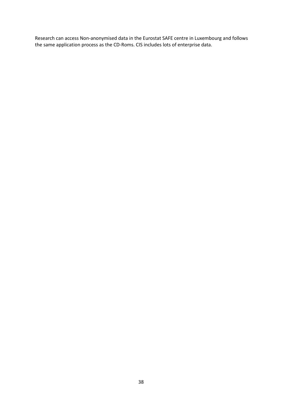Research can access Non-anonymised data in the Eurostat SAFE centre in Luxembourg and follows the same application process as the CD-Roms. CIS includes lots of enterprise data.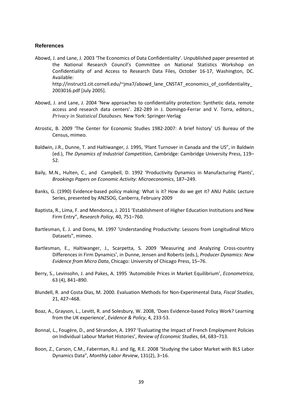#### <span id="page-39-0"></span>**References**

- Abowd, J. and Lane, J. 2003 'The Economics of Data Confidentiality'. Unpublished paper presented at the National Research Council's Committee on National Statistics Workshop on Confidentiality of and Access to Research Data Files, October 16-17, Washington, DC. Available: http://instruct1.cit.cornell.edu/~jma7/abowd\_lane\_CNSTAT\_economics\_of\_confidentiality\_ 2003016.pdf [July 2005].
- Abowd, J. and Lane, J. 2004 'New approaches to confidentiality protection: Synthetic data, remote access and research data centers'. 282-289 in J. Domingo-Ferrar and V. Torra, editors., *Privacy in Statistical Databases.* New York: Springer-Verlag
- Atrostic, B. 2009 'The Center for Economic Studies 1982-2007: A brief history' US Bureau of the Census, mimeo.
- Baldwin, J.R., Dunne, T. and Haltiwanger, J. 1995, 'Plant Turnover in Canada and the US", in Baldwin (ed.), *The Dynamics of Industrial Competition*, Cambridge: Cambridge University Press, 119– 52.
- Baily, M.N., Hulten, C., and Campbell, D. 1992 'Productivity Dynamics in Manufacturing Plants', *Brookings Papers on Economic Activity: Microeconomics*, 187–249.
- Banks, G. (1990) Evidence-based policy making: What is it? How do we get it? ANU Public Lecture Series, presented by ANZSOG, Canberra, February 2009
- Baptista, R., Lima, F. and Mendonca, J. 2011 'Establishment of Higher Education Institutions and New Firm Entry", *Research Policy*, 40, 751–760.
- Bartlesman, E. J. and Doms, M. 1997 'Understanding Productivity: Lessons from Longitudinal Micro Datasets", mimeo.
- Bartlesman, E., Haltiwanger, J., Scarpetta, S. 2009 'Measuring and Analyzing Cross-country Differences in Firm Dynamics', in Dunne, Jensen and Roberts (eds.), *Producer Dynamics: New Evidence from Micro Data*, Chicago: University of Chicago Press, 15–76.
- Berry, S., Levinsohn, J. and Pakes, A. 1995 *'*Automobile Prices in Market Equilibrium', *Econometrica*, 63 (4), 841–890.
- Blundell, R. and Costa Dias, M. 2000. Evaluation Methods for Non-Experimental Data, *Fiscal Studies*, 21, 427–468.
- Boaz, A., Grayson, L., Levitt, R. and Solesbury, W. 2008, 'Does Evidence-based Policy Work? Learning from the UK experience', *Evidence & Policy*, 4, 233-53.
- Bonnal, L., Fougère, D., and Sérandon, A. 1997 'Evaluating the Impact of French Employment Policies on Individual Labour Market Histories', *Review of Economic Studies*, 64, 683–713.
- Boon, Z., Carson, C.M., Faberman, R.J. and Ilg, R.E. 2008 'Studying the Labor Market with BLS Labor Dynamics Data", *Monthly Labor Review*, 131(2), 3–16.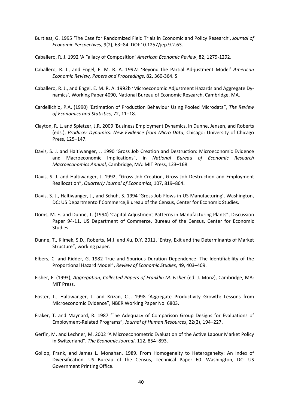- Burtless, G. 1995 'The Case for Randomized Field Trials in Economic and Policy Research', *Journal of Economic Perspectives*, 9(2), 63–84. DOI:10.1257/jep.9.2.63.
- Caballero, R. J. 1992 'A Fallacy of Composition' *American Economic Review*, 82, 1279-1292.
- Caballero, R. J., and Engel, E. M. R. A. 1992a 'Beyond the Partial Ad-justment Model' *American Economic Review, Papers and Proceedings*, 82, 360-364. S
- Caballero, R. J., and Engel, E. M. R. A. 1992b 'Microeconomic Adjustment Hazards and Aggregate Dynamics', Working Paper 4090, National Bureau of Economic Research, Cambridge, MA.
- Cardellichio, P.A. (1990) 'Estimation of Production Behaviour Using Pooled Microdata", *The Review of Economics and Statistics*, 72, 11–18.
- Clayton, R. L. and Spletzer, J.R. 2009 'Business Employment Dynamics, in Dunne, Jensen, and Roberts (eds.), *Producer Dynamics: New Evidence from Micro Data*, Chicago: University of Chicago Press, 125–147.
- Davis, S. J. and Haltiwanger, J. 1990 'Gross Job Creation and Destruction: Microeconomic Evidence and Macroeconomic Implications", in *National Bureau of Economic Research Macroeconomics Annual*, Cambridge, MA: MIT Press, 123–168.
- Davis, S. J. and Haltiwanger, J. 1992, "Gross Job Creation, Gross Job Destruction and Employment Reallocation", *Quarterly Journal of Economics*, 107, 819–864.
- Davis, S. J., Haltiwanger, J., and Schuh, S. 1994 'Gross Job Flows in US Manufacturing', Washington, DC: US Departmento f Commerce,B ureau of the Census, Center for Economic Studies.
- Doms, M. E. and Dunne, T. (1994) 'Capital Adjustment Patterns in Manufacturing Plants", Discussion Paper 94-11, US Department of Commerce, Bureau of the Census, Center for Economic Studies.
- Dunne, T., Klimek, S.D., Roberts, M.J. and Xu, D.Y. 2011, 'Entry, Exit and the Determinants of Market Structure", working paper.
- Elbers, C. and Ridder, G. 1982 True and Spurious Duration Dependence: The Identifiability of the Proportional Hazard Model", *Review of Economic Studies*, 49, 403–409.
- Fisher, F. (1993), *Aggregation, Collected Papers of Franklin M. Fisher* (ed. J. Monz), Cambridge, MA: MIT Press.
- Foster, L., Haltiwanger, J. and Krizan, C.J. 1998 'Aggregate Productivity Growth: Lessons from Microeconomic Evidence", NBER Working Paper No. 6803.
- Fraker, T. and Maynard, R. 1987 'The Adequacy of Comparison Group Designs for Evaluations of Employment-Related Programs", *Journal of Human Resources*, 22(2), 194–227.
- Gerfin, M. and Lechner, M. 2002 'A Microeconometric Evaluation of the Active Labour Market Policy in Switzerland", *The Economic Journal*, 112, 854–893.
- Gollop, Frank, and James L. Monahan. 1989. From Homogeneity to Heterogeneity: An Index of Diversification. US Bureau of the Census, Technical Paper 60. Washington, DC: US Government Printing Office.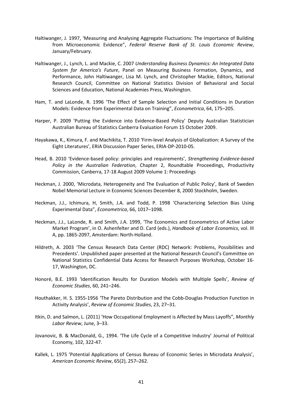- Haltiwanger, J. 1997, 'Measuring and Analysing Aggregate Fluctuations: The Importance of Building from Microeconomic Evidence", *Federal Reserve Bank of St. Louis Economic Review*, January/February.
- Haltiwanger, J., Lynch, L. and Mackie, C. 2007 *Understanding Business Dynamics: An Integrated Data System for America's Future*, Panel on Measuring Business Formation, Dynamics, and Performance, John Haltiwanger, Lisa M. Lynch, and Christopher Mackie, Editors, National Research Council, Committee on National Statistics Division of Behavioral and Social Sciences and Education, National Academies Press, Washington.
- Ham, T. and LaLonde, R. 1996 'The Effect of Sample Selection and Initial Conditions in Duration Models: Evidence from Experimental Data on Training", *Econometrica*, 64, 175–205.
- Harper, P. 2009 'Putting the Evidence into Evidence-Based Policy' Deputy Australian Statistician Australian Bureau of Statistics Canberra Evaluation Forum 15 October 2009.
- Hayakawa, K., Kimura, F. and Machikita, T. 2010 'Firm-level Analysis of Globalization: A Survey of the Eight Literatures', ERIA Discussion Paper Series, ERIA-DP-2010-05.
- Head, B. 2010 'Evidence-based policy: principles and requirements', *Strengthening Evidence-based Policy in the Australian Federation*, Chapter 2, Roundtable Proceedings, Productivity Commission, Canberra, 17-18 August 2009 Volume 1: Proceedings
- Heckman, J. 2000, 'Microdata, Heterogeneity and The Evaluation of Public Policy', Bank of Sweden Nobel Memorial Lecture in Economic Sciences December 8, 2000 Stockholm, Sweden.
- Heckman, J.J., Ichimura, H, Smith, J.A. and Todd, P. 1998 'Characterizing Selection Bias Using Experimental Data", *Econometrica*, 66, 1017–1098.
- Heckman, J.J., LaLonde, R. and Smith, J.A. 1999, 'The Economics and Econometrics of Active Labor Market Program', in O. Ashenfelter and D. Card (eds.), *Handbook of Labor Economics*, vol. III A, pp. 1865-2097, Amsterdam: North-Holland.
- Hildreth, A. 2003 'The Census Research Data Center (RDC) Network: Problems, Possibilities and Precedents'. Unpublished paper presented at the National Research Council's Committee on National Statistics Confidential Data Access for Research Purposes Workshop, October 16- 17, Washington, DC.
- Honoré, B.E. 1993 'Identification Results for Duration Models with Multiple Spells', *Review of Economic Studies*, 60, 241–246.
- Houthakker, H. S. 1955-1956 'The Pareto Distribution and the Cobb-Douglas Production Function in Activity Analysis', *Review of Economic Studies*, 23, 27–31.
- Itkin, D. and Salmon, L. (2011) 'How Occupational Employment is Affected by Mass Layoffs", *Monthly Labor Review*, June, 3–33.
- Jovanovic, B. & MacDonald, G., 1994. ['The Life Cycle of a Competitive Industry'](http://ideas.repec.org/p/cvs/starer/93-34.html) [Journal of Political](http://ideas.repec.org/s/ucp/jpolec.html)  [Economy,](http://ideas.repec.org/s/ucp/jpolec.html) 102, 322-47.
- Kallek, L. 1975 'Potential Applications of Census Bureau of Economic Series in Microdata Analysis', *American Economic Review*, 65(2), 257–262.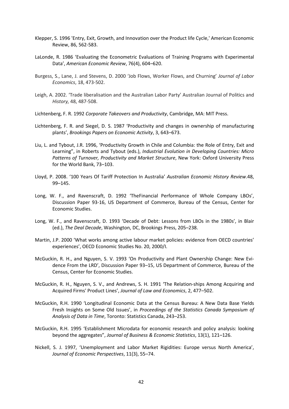- Klepper, S. 1996 'Entry, Exit, Growth, and Innovation over the Product life Cycle,' American Economic Review, 86, 562-583.
- LaLonde, R. 1986 'Evaluating the Econometric Evaluations of Training Programs with Experimental Data', *American Economic Review*, 76(4), 604–620.
- Burgess, S., Lane, J. and Stevens, D. 2000 'Job Flows, Worker Flows, and Churning' *Journal of Labor Economics*, 18, 473-502.
- Leigh, A. 2002. 'Trade liberalisation and the Australian Labor Party' Australian Journal of Politics and *History,* 48, 487-508.
- Lichtenberg, F. R. 1992 *Corporate Takeovers and Productivity*, Cambridge, MA: MIT Press.
- Lichtenberg, F. R. and Siegel, D. S. 1987 'Productivity and changes in ownership of manufacturing plants', *Brookings Papers on Economic Activity*, 3, 643–673.
- Liu, L. and Tybout, J.R. 1996, 'Productivity Growth in Chile and Columbia: the Role of Entry, Exit and Learning", in Roberts and Tybout (eds.), *Industrial Evolution in Developing Countries: Micro Patterns of Turnover, Productivity and Market Structure*, New York: Oxford University Press for the World Bank, 73–103.
- Lloyd, P. 2008. '100 Years Of Tariff Protection In Australia' *Australian Economic History Review*.48, 99–145.
- Long, W. F., and Ravenscraft, D. 1992 'TheFinancial Performance of Whole Company LBOs', Discussion Paper 93-16, US Department of Commerce, Bureau of the Census, Center for Economic Studies.
- Long, W. F., and Ravenscraft, D. 1993 'Decade of Debt: Lessons from LBOs in the 1980s', in Blair (ed.), *The Deal Decade*, Washington, DC, Brookings Press, 205–238.
- Martin, J.P. 2000 'What works among active labour market policies: evidence from OECD countries' experiences', OECD Economic Studies No. 20, 2000/I.
- McGuckin, R. H., and Nguyen, S. V. 1993 'On Productivity and Plant Ownership Change: New Evidence From the LRD', Discussion Paper 93–15, US Department of Commerce, Bureau of the Census, Center for Economic Studies.
- McGuckin, R. H., Nguyen, S. V., and Andrews, S. H. 1991 'The Relation-ships Among Acquiring and Acquired Firms' Product Lines', *Journal of Law and Economics*, 2, 477–502.
- McGuckin, R.H. 1990 'Longitudinal Economic Data at the Census Bureau: A New Data Base Yields Fresh Insights on Some Old Issues', in *Proceedings of the Statistics Canada Symposium of Analysis of Data in Time*, Toronto: Statistics Canada, 243–253.
- McGuckin, R.H. 1995 'Establishment Microdata for economic research and policy analysis: looking beyond the aggregates", *Journal of Business & Economic Statistics*, 13(1), 121–126.
- Nickell, S. J. 1997, 'Unemployment and Labor Market Rigidities: Europe versus North America', *Journal of Economic Perspectives*, 11(3), 55–74.